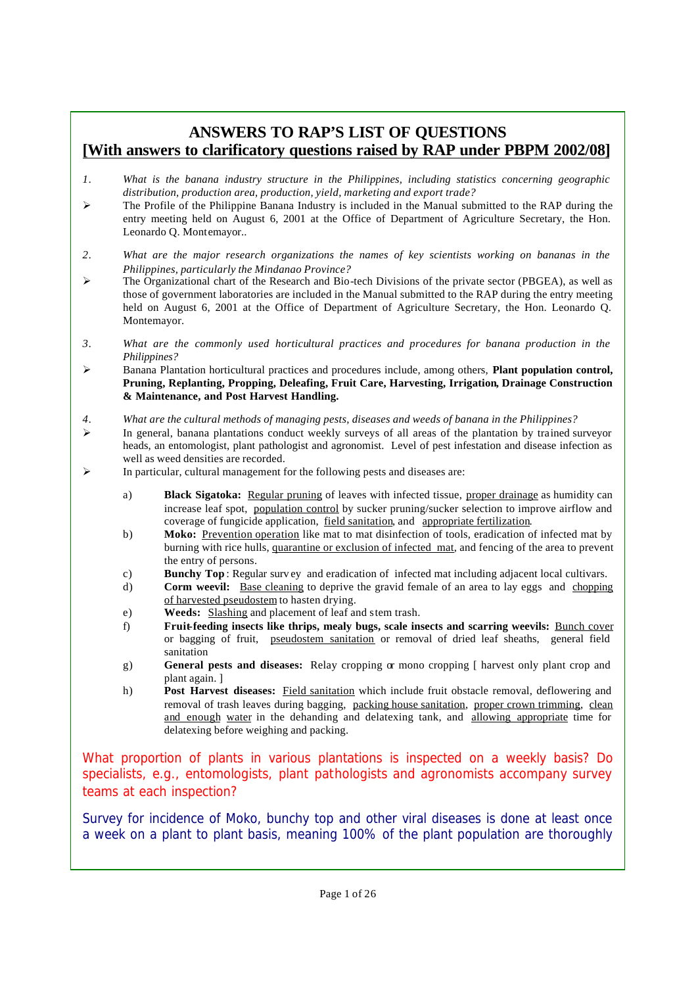## **ANSWERS TO RAP'S LIST OF QUESTIONS [With answers to clarificatory questions raised by RAP under PBPM 2002/08]**

- *1. What is the banana industry structure in the Philippines, including statistics concerning geographic distribution, production area, production, yield, marketing and export trade?*
- $\geq$  The Profile of the Philippine Banana Industry is included in the Manual submitted to the RAP during the entry meeting held on August 6, 2001 at the Office of Department of Agriculture Secretary, the Hon. Leonardo Q. Montemayor..
- *2. What are the major research organizations the names of key scientists working on bananas in the Philippines, particularly the Mindanao Province?*
- $\triangleright$  The Organizational chart of the Research and Bio-tech Divisions of the private sector (PBGEA), as well as those of government laboratories are included in the Manual submitted to the RAP during the entry meeting held on August 6, 2001 at the Office of Department of Agriculture Secretary, the Hon. Leonardo Q. Montemayor.
- *3. What are the commonly used horticultural practices and procedures for banana production in the Philippines?*
- ÿ Banana Plantation horticultural practices and procedures include, among others, **Plant population control, Pruning, Replanting, Propping, Deleafing, Fruit Care, Harvesting, Irrigation, Drainage Construction & Maintenance, and Post Harvest Handling.**
- *4. What are the cultural methods of managing pests, diseases and weeds of banana in the Philippines?*
- $\triangleright$  In general, banana plantations conduct weekly surveys of all areas of the plantation by trained surveyor heads, an entomologist, plant pathologist and agronomist. Level of pest infestation and disease infection as well as weed densities are recorded.
- $\triangleright$  In particular, cultural management for the following pests and diseases are:
	- a) **Black Sigatoka:** Regular pruning of leaves with infected tissue, proper drainage as humidity can increase leaf spot, population control by sucker pruning/sucker selection to improve airflow and coverage of fungicide application, field sanitation, and appropriate fertilization.
	- b) **Moko:** Prevention operation like mat to mat disinfection of tools, eradication of infected mat by burning with rice hulls, quarantine or exclusion of infected mat, and fencing of the area to prevent the entry of persons.
	- c) **Bunchy Top**: Regular survey and eradication of infected mat including adjacent local cultivars.
	- d) **Corm weevil:** <u>Base cleaning</u> to deprive the gravid female of an area to lay eggs and chopping of harvested pseudostem to hasten drying.
	- e) **Weeds:** Slashing and placement of leaf and stem trash.
	- f) **Fruit-feeding insects like thrips, mealy bugs, scale insects and scarring weevils:** Bunch cover or bagging of fruit, pseudostem sanitation or removal of dried leaf sheaths, general field sanitation
	- g) **General pests and diseases:** Relay cropping  $\alpha$  mono cropping [ harvest only plant crop and plant again. ]
	- h) **Post Harvest diseases:** Field sanitation which include fruit obstacle removal, deflowering and removal of trash leaves during bagging, packing house sanitation, proper crown trimming, clean and enough water in the dehanding and delatexing tank, and allowing appropriate time for delatexing before weighing and packing.

*What proportion of plants in various plantations is inspected on a weekly basis? Do specialists, e.g., entomologists, plant pathologists and agronomists accompany survey teams at each inspection?*

Survey for incidence of Moko, bunchy top and other viral diseases is done at least once a week on a plant to plant basis, meaning 100% of the plant population are thoroughly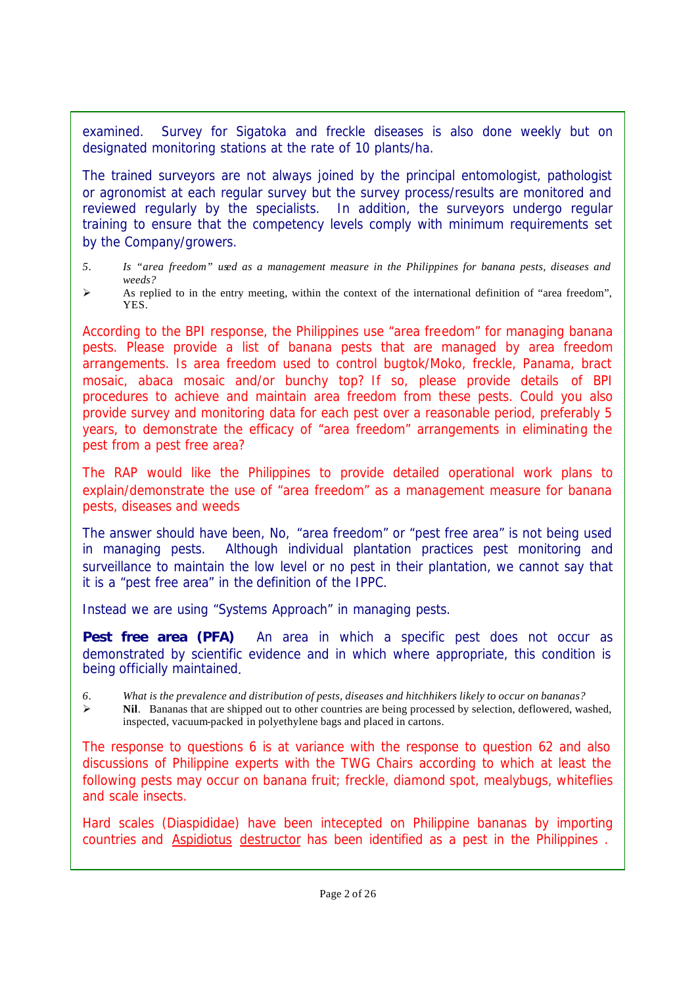examined. Survey for Sigatoka and freckle diseases is also done weekly but on designated monitoring stations at the rate of 10 plants/ha.

The trained surveyors are not always joined by the principal entomologist, pathologist or agronomist at each regular survey but the survey process/results are monitored and reviewed regularly by the specialists. In addition, the surveyors undergo regular training to ensure that the competency levels comply with minimum requirements set by the Company/growers.

- *5. Is "area freedom" used as a management measure in the Philippines for banana pests, diseases and weeds?*
- $\triangleright$  As replied to in the entry meeting, within the context of the international definition of "area freedom", YES.

*According to the BPI response, the Philippines use "area freedom" for managing banana pests. Please provide a list of banana pests that are managed by area freedom arrangements. Is area freedom used to control bugtok/Moko, freckle, Panama, bract mosaic, abaca mosaic and/or bunchy top? If so, please provide details of BPI procedures to achieve and maintain area freedom from these pests. Could you also provide survey and monitoring data for each pest over a reasonable period, preferably 5 years, to demonstrate the efficacy of "area freedom" arrangements in eliminating the pest from a pest free area?*

*The RAP would like the Philippines to provide detailed operational work plans to explain/demonstrate the use of "area freedom" as a management measure for banana pests, diseases and weeds*

The answer should have been, No, "area freedom" or "pest free area" is not being used in managing pests. Although individual plantation practices pest monitoring and surveillance to maintain the low level or no pest in their plantation, we cannot say that it is a "pest free area" in the definition of the IPPC.

Instead we are using "Systems Approach" in managing pests.

**Pest free area (PFA)** An area in which a specific pest does not occur as demonstrated by scientific evidence and in which where appropriate, this condition is being officially maintained.

*6. What is the prevalence and distribution of pests, diseases and hitchhikers likely to occur on bananas?*

ÿ **Nil**. Bananas that are shipped out to other countries are being processed by selection, deflowered, washed, inspected, vacuum-packed in polyethylene bags and placed in cartons.

*The response to questions 6 is at variance with the response to question 62 and also discussions of Philippine experts with the TWG Chairs according to which at least the following pests may occur on banana fruit; freckle, diamond spot, mealybugs, whiteflies and scale insects.*

*Hard scales (Diaspididae) have been intecepted on Philippine bananas by importing countries and Aspidiotus destructor has been identified as a pest in the Philippines .*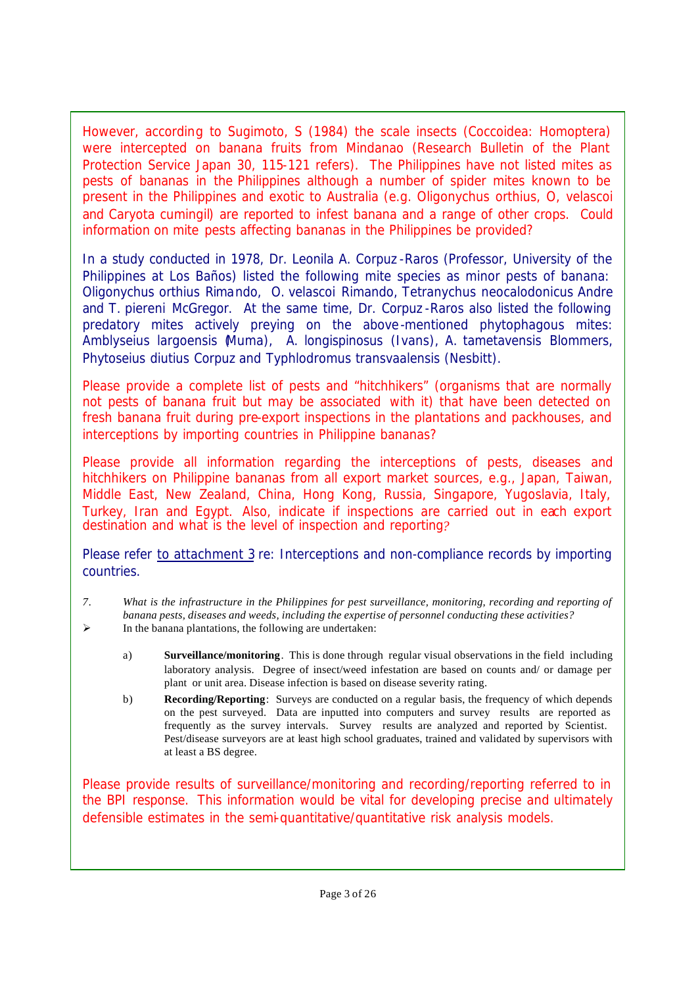*However, according to Sugimoto, S (1984) the scale insects (Coccoidea: Homoptera) were intercepted on banana fruits from Mindanao (Research Bulletin of the Plant Protection Service Japan 30, 115-121 refers). The Philippines have not listed mites as pests of bananas in the Philippines although a number of spider mites known to be present in the Philippines and exotic to Australia (e.g. Oligonychus orthius, O, velascoi and Caryota cumingil) are reported to infest banana and a range of other crops. Could information on mite pests affecting bananas in the Philippines be provided?*

In a study conducted in 1978, Dr. Leonila A. Corpuz -Raros (Professor, University of the Philippines at Los Baños) listed the following mite species as minor pests of banana: *Oligonychus orthius* Rimando, *O. velascoi* Rimando, *Tetranychus neocalodonicus* Andre and *T. piereni* McGregor. At the same time, Dr. Corpuz -Raros also listed the following predatory mites actively preying on the above-mentioned phytophagous mites: *Amblyseius largoensis (*Muma), *A. longispinosus* (Ivans), *A. tametavensis* Blommers, *Phytoseius diutius* Corpuz and *Typhlodromus transvaalensis* (Nesbitt).

*Please provide a complete list of pests and "hitchhikers" (organisms that are normally not pests of banana fruit but may be associated with it) that have been detected on fresh banana fruit during pre-export inspections in the plantations and packhouses, and interceptions by importing countries in Philippine bananas?*

*Please provide all information regarding the interceptions of pests, diseases and hitchhikers on Philippine bananas from all export market sources, e.g., Japan, Taiwan, Middle East, New Zealand, China, Hong Kong, Russia, Singapore, Yugoslavia, Italy, Turkey, Iran and Egypt. Also, indicate if inspections are carried out in each export destination and what is the level of inspection and reporting?*

Please refer to attachment 3 re: Interceptions and non-compliance records by importing countries.

- *7. What is the infrastructure in the Philippines for pest surveillance, monitoring, recording and reporting of banana pests, diseases and weeds, including the expertise of personnel conducting these activities?*
- $\triangleright$  In the banana plantations, the following are undertaken:
	- a) **Surveillance/monitoring**. This is done through regular visual observations in the field including laboratory analysis. Degree of insect/weed infestation are based on counts and/ or damage per plant or unit area. Disease infection is based on disease severity rating.
	- b) **Recording/Reporting**: Surveys are conducted on a regular basis, the frequency of which depends on the pest surveyed. Data are inputted into computers and survey results are reported as frequently as the survey intervals. Survey results are analyzed and reported by Scientist. Pest/disease surveyors are at least high school graduates, trained and validated by supervisors with at least a BS degree.

*Please provide results of surveillance/monitoring and recording/reporting referred to in the BPI response. This information would be vital for developing precise and ultimately defensible estimates in the semi-quantitative/quantitative risk analysis models.*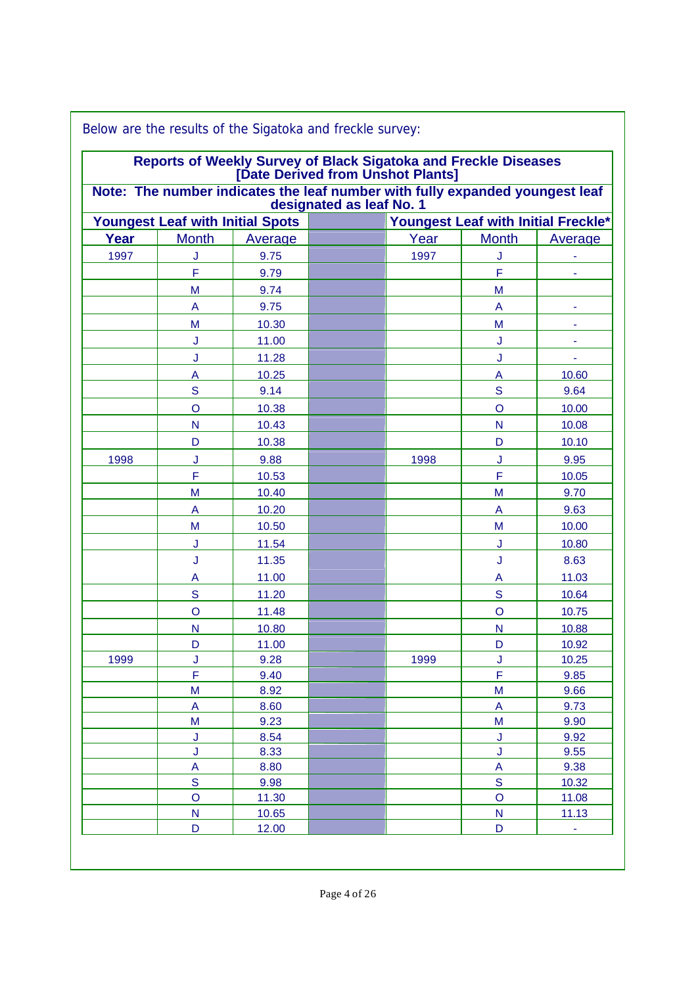| Note: The number indicates the leaf number with fully expanded youngest leaf<br>designated as leaf No. 1 |                                                                                                                                                                                                                                               |                                                                                                                                                                                                                          |      |              |                                                                                                                                                                                                                                                                                                                                                                                                               |
|----------------------------------------------------------------------------------------------------------|-----------------------------------------------------------------------------------------------------------------------------------------------------------------------------------------------------------------------------------------------|--------------------------------------------------------------------------------------------------------------------------------------------------------------------------------------------------------------------------|------|--------------|---------------------------------------------------------------------------------------------------------------------------------------------------------------------------------------------------------------------------------------------------------------------------------------------------------------------------------------------------------------------------------------------------------------|
| <b>Youngest Leaf with Initial Spots</b>                                                                  |                                                                                                                                                                                                                                               |                                                                                                                                                                                                                          |      |              |                                                                                                                                                                                                                                                                                                                                                                                                               |
| <b>Month</b>                                                                                             | Average                                                                                                                                                                                                                                       |                                                                                                                                                                                                                          | Year | <b>Month</b> | <b>Average</b>                                                                                                                                                                                                                                                                                                                                                                                                |
| J                                                                                                        | 9.75                                                                                                                                                                                                                                          |                                                                                                                                                                                                                          | 1997 | J            |                                                                                                                                                                                                                                                                                                                                                                                                               |
| F                                                                                                        | 9.79                                                                                                                                                                                                                                          |                                                                                                                                                                                                                          |      | F            | ٠                                                                                                                                                                                                                                                                                                                                                                                                             |
| M                                                                                                        | 9.74                                                                                                                                                                                                                                          |                                                                                                                                                                                                                          |      | M            |                                                                                                                                                                                                                                                                                                                                                                                                               |
| A                                                                                                        | 9.75                                                                                                                                                                                                                                          |                                                                                                                                                                                                                          |      | A            | ۰                                                                                                                                                                                                                                                                                                                                                                                                             |
|                                                                                                          |                                                                                                                                                                                                                                               |                                                                                                                                                                                                                          |      |              |                                                                                                                                                                                                                                                                                                                                                                                                               |
|                                                                                                          |                                                                                                                                                                                                                                               |                                                                                                                                                                                                                          |      |              | $\blacksquare$                                                                                                                                                                                                                                                                                                                                                                                                |
|                                                                                                          |                                                                                                                                                                                                                                               |                                                                                                                                                                                                                          |      |              | $\blacksquare$                                                                                                                                                                                                                                                                                                                                                                                                |
|                                                                                                          |                                                                                                                                                                                                                                               |                                                                                                                                                                                                                          |      |              | 10.60                                                                                                                                                                                                                                                                                                                                                                                                         |
|                                                                                                          |                                                                                                                                                                                                                                               |                                                                                                                                                                                                                          |      |              | 9.64                                                                                                                                                                                                                                                                                                                                                                                                          |
|                                                                                                          |                                                                                                                                                                                                                                               |                                                                                                                                                                                                                          |      |              | 10.00                                                                                                                                                                                                                                                                                                                                                                                                         |
|                                                                                                          |                                                                                                                                                                                                                                               |                                                                                                                                                                                                                          |      |              | 10.08                                                                                                                                                                                                                                                                                                                                                                                                         |
|                                                                                                          |                                                                                                                                                                                                                                               |                                                                                                                                                                                                                          |      |              | 10.10                                                                                                                                                                                                                                                                                                                                                                                                         |
|                                                                                                          |                                                                                                                                                                                                                                               |                                                                                                                                                                                                                          |      |              | 9.95                                                                                                                                                                                                                                                                                                                                                                                                          |
|                                                                                                          |                                                                                                                                                                                                                                               |                                                                                                                                                                                                                          |      |              | 10.05                                                                                                                                                                                                                                                                                                                                                                                                         |
|                                                                                                          |                                                                                                                                                                                                                                               |                                                                                                                                                                                                                          |      |              | 9.70                                                                                                                                                                                                                                                                                                                                                                                                          |
|                                                                                                          |                                                                                                                                                                                                                                               |                                                                                                                                                                                                                          |      |              | 9.63                                                                                                                                                                                                                                                                                                                                                                                                          |
|                                                                                                          |                                                                                                                                                                                                                                               |                                                                                                                                                                                                                          |      |              | 10.00                                                                                                                                                                                                                                                                                                                                                                                                         |
|                                                                                                          |                                                                                                                                                                                                                                               |                                                                                                                                                                                                                          |      |              | 10.80                                                                                                                                                                                                                                                                                                                                                                                                         |
|                                                                                                          |                                                                                                                                                                                                                                               |                                                                                                                                                                                                                          |      |              | 8.63                                                                                                                                                                                                                                                                                                                                                                                                          |
|                                                                                                          |                                                                                                                                                                                                                                               |                                                                                                                                                                                                                          |      |              | 11.03                                                                                                                                                                                                                                                                                                                                                                                                         |
|                                                                                                          |                                                                                                                                                                                                                                               |                                                                                                                                                                                                                          |      |              | 10.64                                                                                                                                                                                                                                                                                                                                                                                                         |
|                                                                                                          |                                                                                                                                                                                                                                               |                                                                                                                                                                                                                          |      |              | 10.75                                                                                                                                                                                                                                                                                                                                                                                                         |
|                                                                                                          |                                                                                                                                                                                                                                               |                                                                                                                                                                                                                          |      |              | 10.88                                                                                                                                                                                                                                                                                                                                                                                                         |
|                                                                                                          |                                                                                                                                                                                                                                               |                                                                                                                                                                                                                          |      |              | 10.92                                                                                                                                                                                                                                                                                                                                                                                                         |
|                                                                                                          |                                                                                                                                                                                                                                               |                                                                                                                                                                                                                          |      |              | 10.25                                                                                                                                                                                                                                                                                                                                                                                                         |
|                                                                                                          |                                                                                                                                                                                                                                               |                                                                                                                                                                                                                          |      |              | 9.85                                                                                                                                                                                                                                                                                                                                                                                                          |
|                                                                                                          |                                                                                                                                                                                                                                               |                                                                                                                                                                                                                          |      |              | 9.66                                                                                                                                                                                                                                                                                                                                                                                                          |
| A                                                                                                        | 8.60                                                                                                                                                                                                                                          |                                                                                                                                                                                                                          |      |              | 9.73                                                                                                                                                                                                                                                                                                                                                                                                          |
| M                                                                                                        | 9.23                                                                                                                                                                                                                                          |                                                                                                                                                                                                                          |      | M            | 9.90                                                                                                                                                                                                                                                                                                                                                                                                          |
| J                                                                                                        | 8.54                                                                                                                                                                                                                                          |                                                                                                                                                                                                                          |      | J            | 9.92                                                                                                                                                                                                                                                                                                                                                                                                          |
| J                                                                                                        | 8.33                                                                                                                                                                                                                                          |                                                                                                                                                                                                                          |      | J            | 9.55                                                                                                                                                                                                                                                                                                                                                                                                          |
| A                                                                                                        | 8.80                                                                                                                                                                                                                                          |                                                                                                                                                                                                                          |      | A            | 9.38                                                                                                                                                                                                                                                                                                                                                                                                          |
|                                                                                                          | 9.98                                                                                                                                                                                                                                          |                                                                                                                                                                                                                          |      |              | 10.32                                                                                                                                                                                                                                                                                                                                                                                                         |
|                                                                                                          |                                                                                                                                                                                                                                               |                                                                                                                                                                                                                          |      |              | 11.08                                                                                                                                                                                                                                                                                                                                                                                                         |
| D                                                                                                        | 12.00                                                                                                                                                                                                                                         |                                                                                                                                                                                                                          |      | D            | 11.13<br>÷,                                                                                                                                                                                                                                                                                                                                                                                                   |
|                                                                                                          | M<br>J<br>J<br>$\overline{A}$<br>${\mathbf S}$<br>$\overline{O}$<br>N<br>D<br>J<br>F<br>M<br>А<br>M<br>J<br>J<br>Α<br>$\mathbf S$<br>$\circ$<br>N<br>D<br>J<br>Ë<br>M<br>$\overline{\mathbf{S}}$<br>$\overline{O}$<br>$\overline{\mathsf{N}}$ | 10.30<br>11.00<br>11.28<br>10.25<br>9.14<br>10.38<br>10.43<br>10.38<br>9.88<br>10.53<br>10.40<br>10.20<br>10.50<br>11.54<br>11.35<br>11.00<br>11.20<br>11.48<br>10.80<br>11.00<br>9.28<br>9.40<br>8.92<br>11.30<br>10.65 |      | 1998<br>1999 | Reports of Weekly Survey of Black Sigatoka and Freckle Diseases<br>[Date Derived from Unshot Plants]<br>Youngest Leaf with Initial Freckle*<br>M<br>J<br>J<br>$\overline{A}$<br>${\mathsf S}$<br>$\circ$<br>$\mathsf{N}$<br>D<br>J<br>F<br>M<br>A<br>M<br>J<br>J<br>A<br>${\mathsf S}$<br>$\circ$<br>N<br>D<br>J<br>F<br>M<br>$\overline{A}$<br>$\overline{\mathbf{S}}$<br>$\circ$<br>$\overline{\mathsf{N}}$ |

Below are the results of the Sigatoka and freckle survey: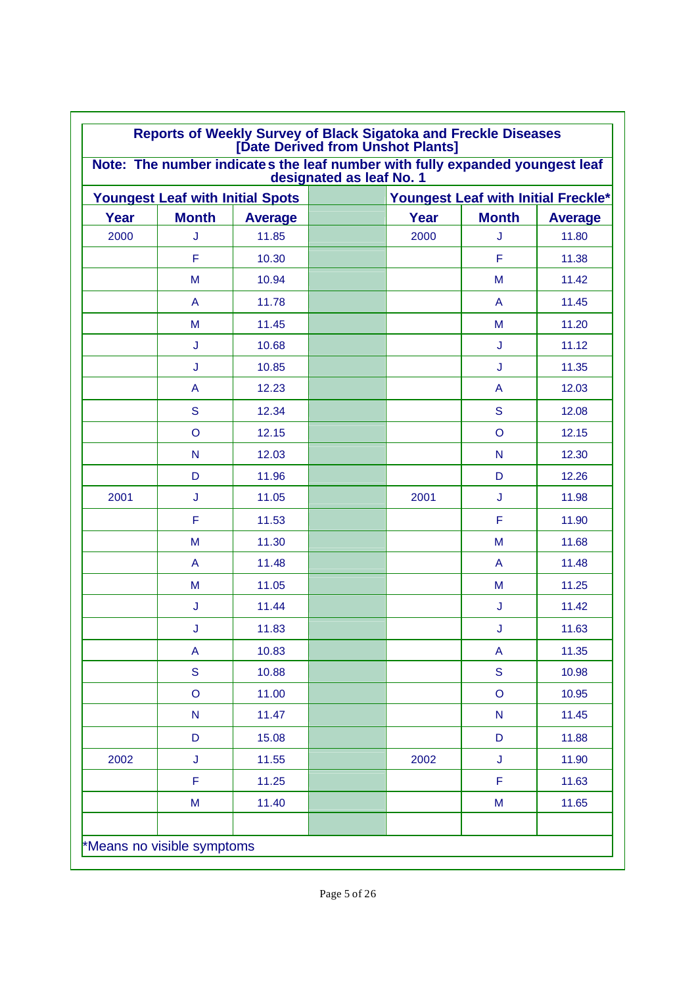|             |                                         | Note: The number indicates the leaf number with fully expanded youngest leaf | designated as leaf No. 1 |      |                                                                                       |                |
|-------------|-----------------------------------------|------------------------------------------------------------------------------|--------------------------|------|---------------------------------------------------------------------------------------|----------------|
|             | <b>Youngest Leaf with Initial Spots</b> |                                                                              |                          |      | Youngest Leaf with Initial Freckle*                                                   |                |
| <b>Year</b> | <b>Month</b>                            | <b>Average</b>                                                               |                          | Year | <b>Month</b>                                                                          | <b>Average</b> |
| 2000        | J                                       | 11.85                                                                        |                          | 2000 | J                                                                                     | 11.80          |
|             | F                                       | 10.30                                                                        |                          |      | F                                                                                     | 11.38          |
|             | M                                       | 10.94                                                                        |                          |      | M                                                                                     | 11.42          |
|             | A                                       | 11.78                                                                        |                          |      | A                                                                                     | 11.45          |
|             | M                                       | 11.45                                                                        |                          |      | M                                                                                     | 11.20          |
|             | J                                       | 10.68                                                                        |                          |      | J                                                                                     | 11.12          |
|             | J                                       | 10.85                                                                        |                          |      | J                                                                                     | 11.35          |
|             | A                                       | 12.23                                                                        |                          |      | A                                                                                     | 12.03          |
|             | S                                       | 12.34                                                                        |                          |      | S                                                                                     | 12.08          |
|             | $\circ$                                 | 12.15                                                                        |                          |      | O                                                                                     | 12.15          |
|             | N                                       | 12.03                                                                        |                          |      | N                                                                                     | 12.30          |
|             | D                                       | 11.96                                                                        |                          |      | D                                                                                     | 12.26          |
| 2001        | J                                       | 11.05                                                                        |                          | 2001 | J                                                                                     | 11.98          |
|             | F                                       | 11.53                                                                        |                          |      | F                                                                                     | 11.90          |
|             | M                                       | 11.30                                                                        |                          |      | M                                                                                     | 11.68          |
|             | A                                       | 11.48                                                                        |                          |      | A                                                                                     | 11.48          |
|             | M                                       | 11.05                                                                        |                          |      | M                                                                                     | 11.25          |
|             | J                                       | 11.44                                                                        |                          |      | J                                                                                     | 11.42          |
|             | J                                       | 11.83                                                                        |                          |      | J                                                                                     | 11.63          |
|             | A                                       | 10.83                                                                        |                          |      | A                                                                                     | 11.35          |
|             | S                                       | 10.88                                                                        |                          |      | ${\mathsf S}$                                                                         | 10.98          |
|             | $\mathsf O$                             | 11.00                                                                        |                          |      | $\circ$                                                                               | 10.95          |
|             | ${\sf N}$                               | 11.47                                                                        |                          |      | ${\sf N}$                                                                             | 11.45          |
|             | D                                       | 15.08                                                                        |                          |      | D                                                                                     | 11.88          |
| 2002        | J                                       | 11.55                                                                        |                          | 2002 | J                                                                                     | 11.90          |
|             | F                                       | 11.25                                                                        |                          |      | F                                                                                     | 11.63          |
|             | M                                       | 11.40                                                                        |                          |      | $\mathsf{M}% _{T}=\mathsf{M}_{T}\!\left( a,b\right) ,\ \mathsf{M}_{T}=\mathsf{M}_{T}$ | 11.65          |
|             |                                         |                                                                              |                          |      |                                                                                       |                |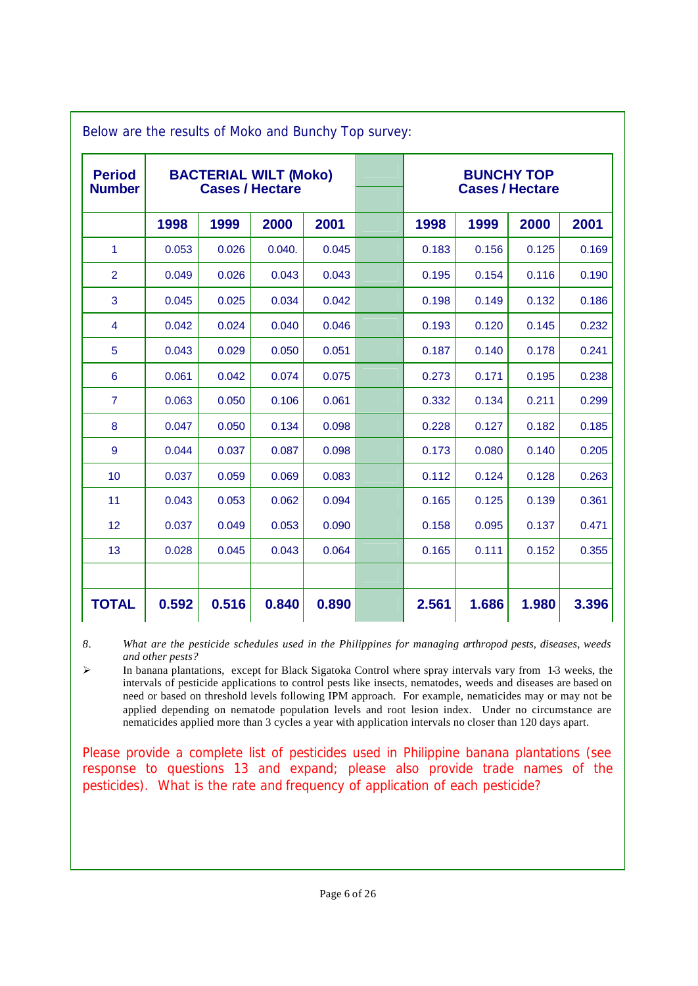| <b>Period</b><br><b>Number</b> | <b>BACTERIAL WILT (Moko)</b><br><b>Cases / Hectare</b> |       |        |       | <b>BUNCHY TOP</b><br><b>Cases / Hectare</b> |       |       |       |
|--------------------------------|--------------------------------------------------------|-------|--------|-------|---------------------------------------------|-------|-------|-------|
|                                | 1998                                                   | 1999  | 2000   | 2001  | 1998                                        | 1999  | 2000  | 2001  |
| 1                              | 0.053                                                  | 0.026 | 0.040. | 0.045 | 0.183                                       | 0.156 | 0.125 | 0.169 |
| $\overline{2}$                 | 0.049                                                  | 0.026 | 0.043  | 0.043 | 0.195                                       | 0.154 | 0.116 | 0.190 |
| 3                              | 0.045                                                  | 0.025 | 0.034  | 0.042 | 0.198                                       | 0.149 | 0.132 | 0.186 |
| $\overline{4}$                 | 0.042                                                  | 0.024 | 0.040  | 0.046 | 0.193                                       | 0.120 | 0.145 | 0.232 |
| 5                              | 0.043                                                  | 0.029 | 0.050  | 0.051 | 0.187                                       | 0.140 | 0.178 | 0.241 |
| $6\phantom{1}6$                | 0.061                                                  | 0.042 | 0.074  | 0.075 | 0.273                                       | 0.171 | 0.195 | 0.238 |
| $\overline{7}$                 | 0.063                                                  | 0.050 | 0.106  | 0.061 | 0.332                                       | 0.134 | 0.211 | 0.299 |
| 8                              | 0.047                                                  | 0.050 | 0.134  | 0.098 | 0.228                                       | 0.127 | 0.182 | 0.185 |
| $\overline{9}$                 | 0.044                                                  | 0.037 | 0.087  | 0.098 | 0.173                                       | 0.080 | 0.140 | 0.205 |
| 10                             | 0.037                                                  | 0.059 | 0.069  | 0.083 | 0.112                                       | 0.124 | 0.128 | 0.263 |
| 11                             | 0.043                                                  | 0.053 | 0.062  | 0.094 | 0.165                                       | 0.125 | 0.139 | 0.361 |
| 12                             | 0.037                                                  | 0.049 | 0.053  | 0.090 | 0.158                                       | 0.095 | 0.137 | 0.471 |
| 13                             | 0.028                                                  | 0.045 | 0.043  | 0.064 | 0.165                                       | 0.111 | 0.152 | 0.355 |
|                                |                                                        |       |        |       |                                             |       |       |       |
| <b>TOTAL</b>                   | 0.592                                                  | 0.516 | 0.840  | 0.890 | 2.561                                       | 1.686 | 1.980 | 3.396 |

*8. What are the pesticide schedules used in the Philippines for managing arthropod pests, diseases, weeds and other pests?*

 $\triangleright$  In banana plantations, except for Black Sigatoka Control where spray intervals vary from 1-3 weeks, the intervals of pesticide applications to control pests like insects, nematodes, weeds and diseases are based on need or based on threshold levels following IPM approach. For example, nematicides may or may not be applied depending on nematode population levels and root lesion index. Under no circumstance are nematicides applied more than 3 cycles a year with application intervals no closer than 120 days apart.

*Please provide a complete list of pesticides used in Philippine banana plantations (see response to questions 13 and expand; please also provide trade names of the pesticides). What is the rate and frequency of application of each pesticide?*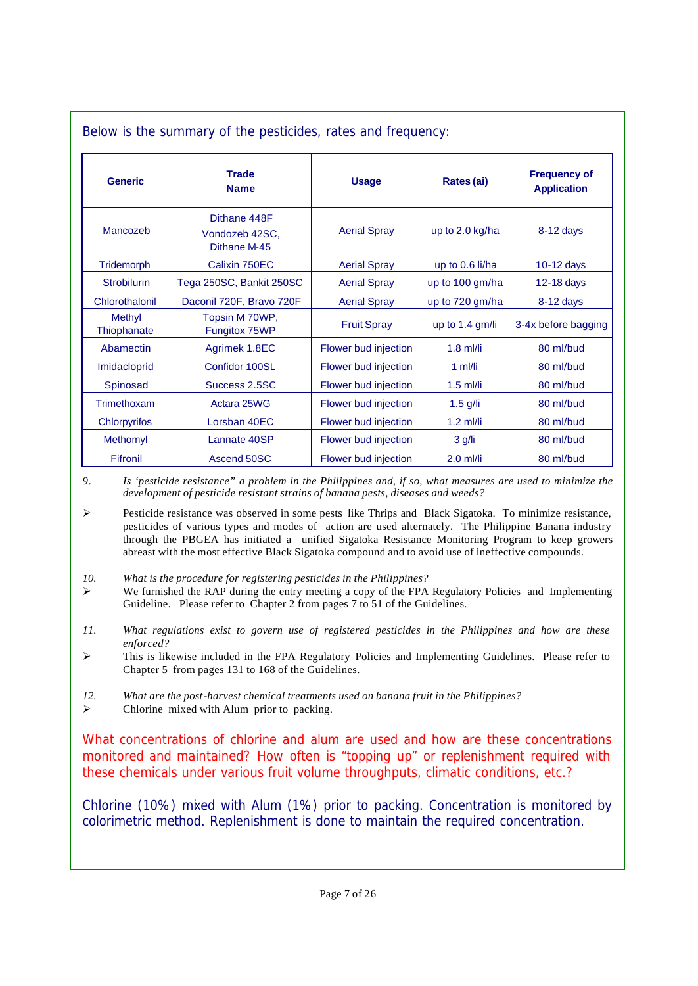| Below is the summary of the pesticides, rates and frequency: |                                                |                      |                 |                                           |
|--------------------------------------------------------------|------------------------------------------------|----------------------|-----------------|-------------------------------------------|
| <b>Generic</b>                                               | <b>Trade</b><br><b>Name</b>                    | <b>Usage</b>         | Rates (ai)      | <b>Frequency of</b><br><b>Application</b> |
| Mancozeb                                                     | Dithane 448F<br>Vondozeb 42SC,<br>Dithane M-45 | <b>Aerial Spray</b>  | up to 2.0 kg/ha | 8-12 days                                 |
| Tridemorph                                                   | Calixin 750EC                                  | <b>Aerial Spray</b>  | up to 0.6 li/ha | $10-12$ days                              |
| <b>Strobilurin</b>                                           | Tega 250SC, Bankit 250SC                       | <b>Aerial Spray</b>  | up to 100 gm/ha | 12-18 days                                |
| Chlorothalonil                                               | Daconil 720F, Bravo 720F                       | <b>Aerial Spray</b>  | up to 720 gm/ha | $8-12$ days                               |
| Methyl<br>Thiophanate                                        | Topsin M 70WP,<br>Fungitox 75WP                | <b>Fruit Spray</b>   | up to 1.4 gm/li | 3-4x before bagging                       |
| Abamectin                                                    | Agrimek 1.8EC                                  | Flower bud injection | $1.8$ ml/li     | 80 ml/bud                                 |
| Imidacloprid                                                 | Confidor 100SL                                 | Flower bud injection | 1 $m$ I/li      | 80 ml/bud                                 |
| Spinosad                                                     | Success 2.5SC                                  | Flower bud injection | $1.5$ ml/li     | 80 ml/bud                                 |
| Trimethoxam                                                  | Actara 25WG                                    | Flower bud injection | $1.5$ g/li      | 80 ml/bud                                 |
| <b>Chlorpyrifos</b>                                          | Lorsban 40EC                                   | Flower bud injection | $1.2$ ml/li     | 80 ml/bud                                 |
| Methomyl                                                     | Lannate 40SP                                   | Flower bud injection | 3 g/li          | 80 ml/bud                                 |
| Fifronil                                                     | Ascend 50SC                                    | Flower bud injection | $2.0$ ml/li     | 80 ml/bud                                 |

*9. Is 'pesticide resistance" a problem in the Philippines and, if so, what measures are used to minimize the development of pesticide resistant strains of banana pests, diseases and weeds?*

 $\triangleright$  Pesticide resistance was observed in some pests like Thrips and Black Sigatoka. To minimize resistance, pesticides of various types and modes of action are used alternately. The Philippine Banana industry through the PBGEA has initiated a unified Sigatoka Resistance Monitoring Program to keep growers abreast with the most effective Black Sigatoka compound and to avoid use of ineffective compounds.

- *10. What is the procedure for registering pesticides in the Philippines?*
- $\triangleright$  We furnished the RAP during the entry meeting a copy of the FPA Regulatory Policies and Implementing Guideline. Please refer to Chapter 2 from pages 7 to 51 of the Guidelines.
- *11. What regulations exist to govern use of registered pesticides in the Philippines and how are these enforced?*
- $\triangleright$  This is likewise included in the FPA Regulatory Policies and Implementing Guidelines. Please refer to Chapter 5 from pages 131 to 168 of the Guidelines.
- *12. What are the post-harvest chemical treatments used on banana fruit in the Philippines?*
- $\triangleright$  Chlorine mixed with Alum prior to packing.

*What concentrations of chlorine and alum are used and how are these concentrations monitored and maintained? How often is "topping up" or replenishment required with these chemicals under various fruit volume throughputs, climatic conditions, etc.?*

Chlorine (10%) mixed with Alum (1%) prior to packing. Concentration is monitored by colorimetric method. Replenishment is done to maintain the required concentration.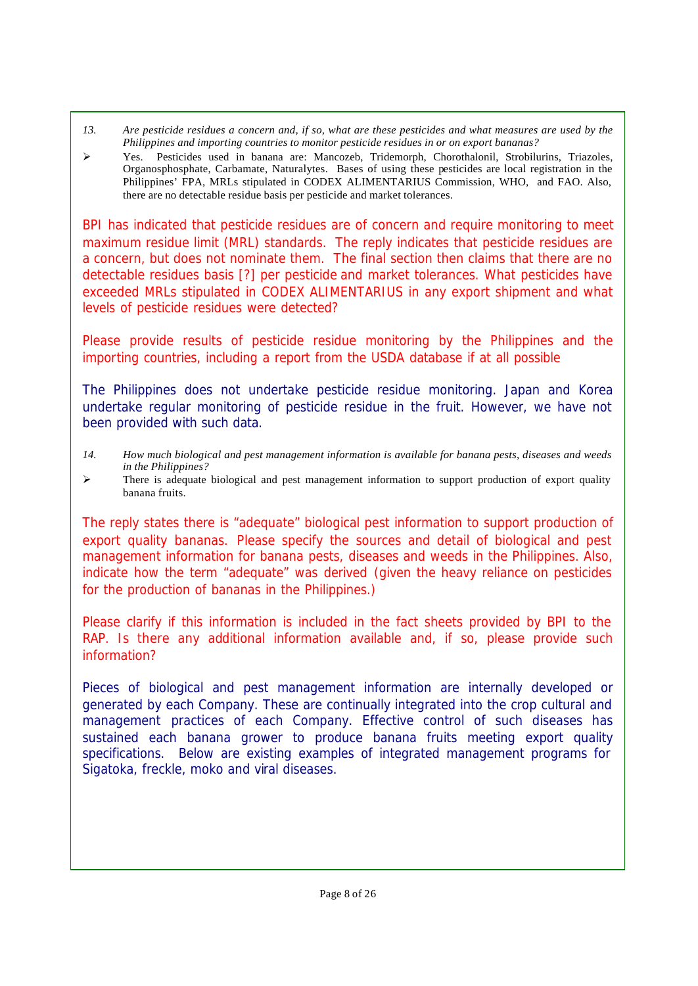- *13. Are pesticide residues a concern and, if so, what are these pesticides and what measures are used by the Philippines and importing countries to monitor pesticide residues in or on export bananas?*
- ÿ Yes. Pesticides used in banana are: Mancozeb, Tridemorph, Chorothalonil, Strobilurins, Triazoles, Organosphosphate, Carbamate, Naturalytes. Bases of using these pesticides are local registration in the Philippines' FPA, MRLs stipulated in CODEX ALIMENTARIUS Commission, WHO, and FAO. Also, there are no detectable residue basis per pesticide and market tolerances.

*BPI has indicated that pesticide residues are of concern and require monitoring to meet maximum residue limit (MRL) standards. The reply indicates that pesticide residues are a concern, but does not nominate them. The final section then claims that there are no detectable residues basis [?] per pesticide and market tolerances. What pesticides have exceeded MRLs stipulated in CODEX ALIMENTARIUS in any export shipment and what levels of pesticide residues were detected?*

*Please provide results of pesticide residue monitoring by the Philippines and the importing countries, including a report from the USDA database if at all possible*

The Philippines does not undertake pesticide residue monitoring. Japan and Korea undertake regular monitoring of pesticide residue in the fruit. However, we have not been provided with such data.

- *14. How much biological and pest management information is available for banana pests, diseases and weeds in the Philippines?*
- $\triangleright$  There is adequate biological and pest management information to support production of export quality banana fruits.

*The reply states there is "adequate" biological pest information to support production of export quality bananas. Please specify the sources and detail of biological and pest management information for banana pests, diseases and weeds in the Philippines. Also, indicate how the term "adequate" was derived (given the heavy reliance on pesticides for the production of bananas in the Philippines.)*

*Please clarify if this information is included in the fact sheets provided by BPI to the RAP. Is there any additional information available and, if so, please provide such information?*

Pieces of biological and pest management information are internally developed or generated by each Company. These are continually integrated into the crop cultural and management practices of each Company. Effective control of such diseases has sustained each banana grower to produce banana fruits meeting export quality specifications. Below are existing examples of integrated management programs for Sigatoka, freckle, moko and viral diseases.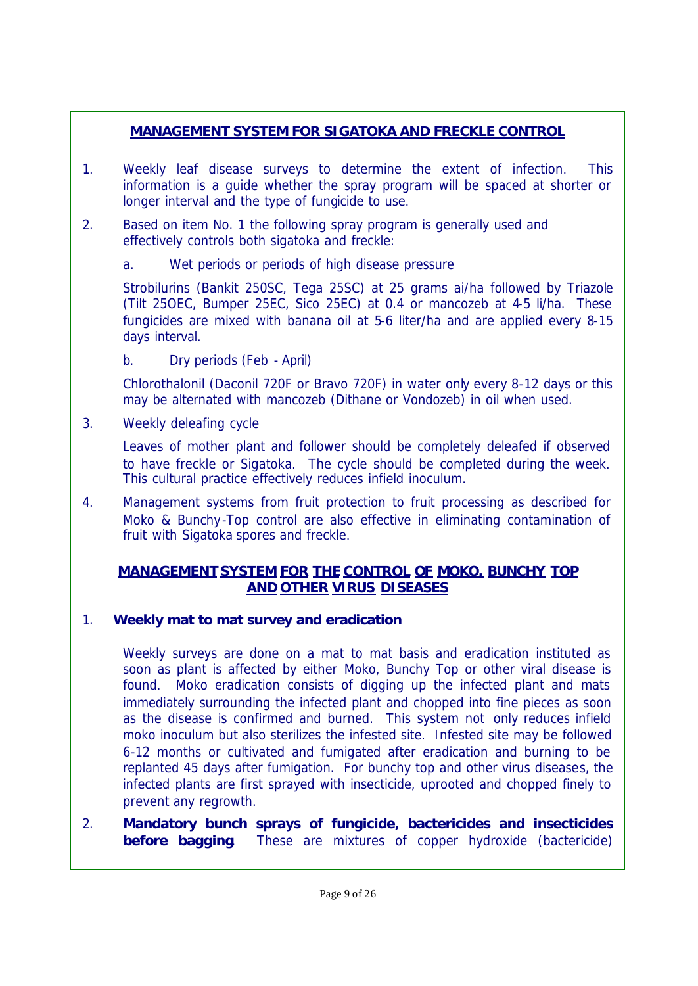# **MANAGEMENT SYSTEM FOR SIGATOKA AND FRECKLE CONTROL**

- 1. Weekly leaf disease surveys to determine the extent of infection. This information is a guide whether the spray program will be spaced at shorter or longer interval and the type of fungicide to use.
- 2. Based on item No. 1 the following spray program is generally used and effectively controls both sigatoka and freckle:
	- a. Wet periods or periods of high disease pressure

Strobilurins (Bankit 250SC, Tega 25SC) at 25 grams ai/ha followed by Triazole (Tilt 25OEC, Bumper 25EC, Sico 25EC) at 0.4 or mancozeb at 4-5 li/ha. These fungicides are mixed with banana oil at 5-6 liter/ha and are applied every 8-15 days interval.

b. Dry periods (Feb - April)

Chlorothalonil (Daconil 720F or Bravo 720F) in water only every 8-12 days or this may be alternated with mancozeb (Dithane or Vondozeb) in oil when used.

3. Weekly deleafing cycle

Leaves of mother plant and follower should be completely deleafed if observed to have freckle or Sigatoka. The cycle should be completed during the week. This cultural practice effectively reduces infield inoculum.

4. Management systems from fruit protection to fruit processing as described for Moko & Bunchy-Top control are also effective in eliminating contamination of fruit with Sigatoka spores and freckle.

## **MANAGEMENT SYSTEM FOR THE CONTROL OF MOKO, BUNCHY TOP AND OTHER VIRUS DISEASES**

# 1. *Weekly mat to mat survey and eradication*

Weekly surveys are done on a mat to mat basis and eradication instituted as soon as plant is affected by either Moko, Bunchy Top or other viral disease is found. Moko eradication consists of digging up the infected plant and mats immediately surrounding the infected plant and chopped into fine pieces as soon as the disease is confirmed and burned. This system not only reduces infield moko inoculum but also sterilizes the infested site. Infested site may be followed 6-12 months or cultivated and fumigated after eradication and burning to be replanted 45 days after fumigation. For bunchy top and other virus diseases, the infected plants are first sprayed with insecticide, uprooted and chopped finely to prevent any regrowth.

2. *Mandatory bunch sprays of fungicide, bactericides and insecticides* **before bagging**. These are mixtures of copper hydroxide (bactericide)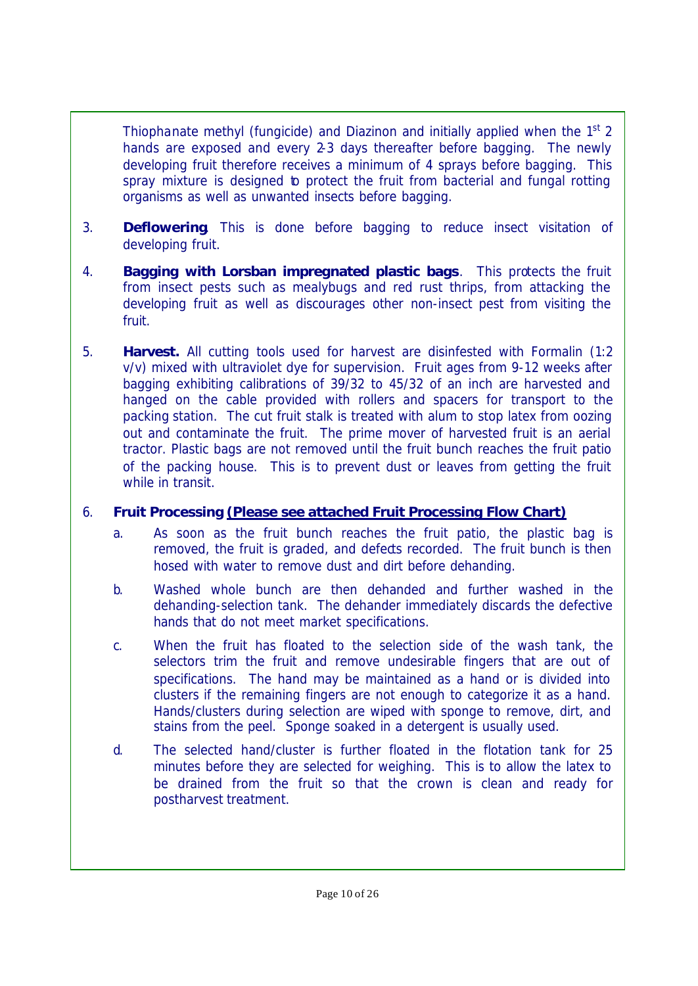Thiophanate methyl (fungicide) and Diazinon and initially applied when the 1<sup>st</sup> 2 hands are exposed and every 2-3 days thereafter before bagging. The newly developing fruit therefore receives a minimum of 4 sprays before bagging. This spray mixture is designed to protect the fruit from bacterial and fungal rotting organisms as well as unwanted insects before bagging.

- 3. *Deflowering*. This is done before bagging to reduce insect visitation of developing fruit.
- 4. *Bagging with Lorsban impregnated plastic bags*. This protects the fruit from insect pests such as mealybugs and red rust thrips, from attacking the developing fruit as well as discourages other non-insect pest from visiting the fruit.
- 5. *Harvest.* All cutting tools used for harvest are disinfested with Formalin (1:2 v/v) mixed with ultraviolet dye for supervision. Fruit ages from 9-12 weeks after bagging exhibiting calibrations of 39/32 to 45/32 of an inch are harvested and hanged on the cable provided with rollers and spacers for transport to the packing station. The cut fruit stalk is treated with alum to stop latex from oozing out and contaminate the fruit. The prime mover of harvested fruit is an aerial tractor. Plastic bags are not removed until the fruit bunch reaches the fruit patio of the packing house. This is to prevent dust or leaves from getting the fruit while in transit.

## 6. *Fruit Processing (Please see attached Fruit Processing Flow Chart)*

- a. As soon as the fruit bunch reaches the fruit patio, the plastic bag is removed, the fruit is graded, and defects recorded. The fruit bunch is then hosed with water to remove dust and dirt before dehanding.
- b. Washed whole bunch are then dehanded and further washed in the dehanding-selection tank. The dehander immediately discards the defective hands that do not meet market specifications.
- c. When the fruit has floated to the selection side of the wash tank, the selectors trim the fruit and remove undesirable fingers that are out of specifications. The hand may be maintained as a hand or is divided into clusters if the remaining fingers are not enough to categorize it as a hand. Hands/clusters during selection are wiped with sponge to remove, dirt, and stains from the peel. Sponge soaked in a detergent is usually used.
- d. The selected hand/cluster is further floated in the flotation tank for 25 minutes before they are selected for weighing. This is to allow the latex to be drained from the fruit so that the crown is clean and ready for postharvest treatment.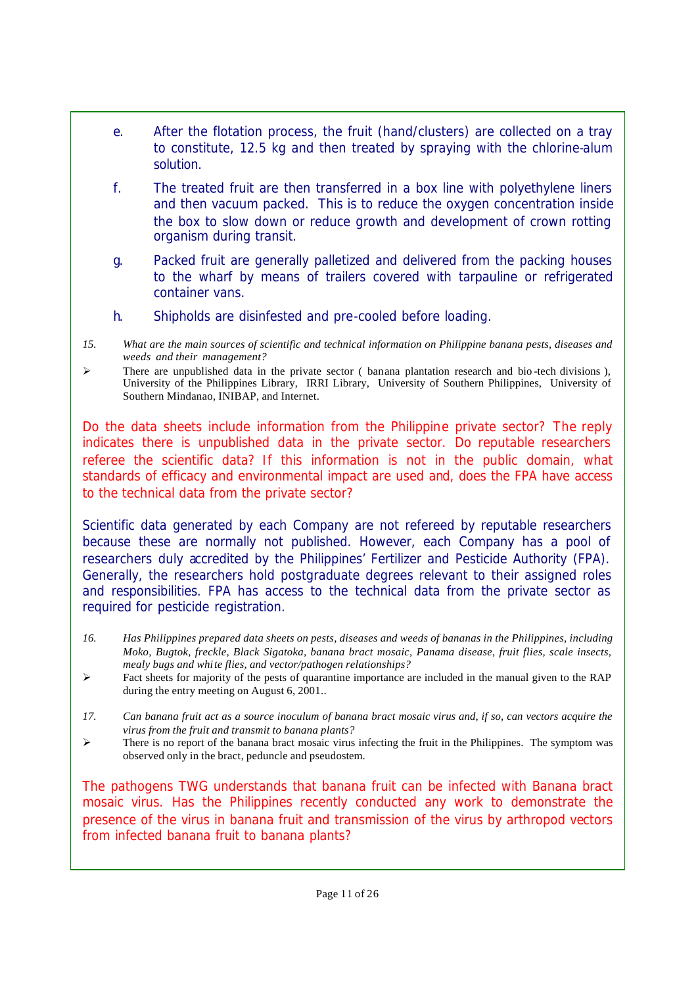- e. After the flotation process, the fruit (hand/clusters) are collected on a tray to constitute, 12.5 kg and then treated by spraying with the chlorine-alum solution.
- f. The treated fruit are then transferred in a box line with polyethylene liners and then vacuum packed. This is to reduce the oxygen concentration inside the box to slow down or reduce growth and development of crown rotting organism during transit.
- g. Packed fruit are generally palletized and delivered from the packing houses to the wharf by means of trailers covered with tarpauline or refrigerated container vans.
- h. Shipholds are disinfested and pre-cooled before loading.
- *15. What are the main sources of scientific and technical information on Philippine banana pests, diseases and weeds and their management?*
- $\triangleright$  There are unpublished data in the private sector ( banana plantation research and bio-tech divisions ), University of the Philippines Library, IRRI Library, University of Southern Philippines, University of Southern Mindanao, INIBAP, and Internet.

*Do the data sheets include information from the Philippine private sector? The reply indicates there is unpublished data in the private sector. Do reputable researchers referee the scientific data? If this information is not in the public domain, what standards of efficacy and environmental impact are used and, does the FPA have access to the technical data from the private sector?*

Scientific data generated by each Company are not refereed by reputable researchers because these are normally not published. However, each Company has a pool of researchers duly accredited by the Philippines' Fertilizer and Pesticide Authority (FPA). Generally, the researchers hold postgraduate degrees relevant to their assigned roles and responsibilities. FPA has access to the technical data from the private sector as required for pesticide registration.

- *16. Has Philippines prepared data sheets on pests, diseases and weeds of bananas in the Philippines, including Moko, Bugtok, freckle, Black Sigatoka, banana bract mosaic, Panama disease, fruit flies, scale insects, mealy bugs and white flies, and vector/pathogen relationships?*
- $\triangleright$  Fact sheets for majority of the pests of quarantine importance are included in the manual given to the RAP during the entry meeting on August 6, 2001..
- *17. Can banana fruit act as a source inoculum of banana bract mosaic virus and, if so, can vectors acquire the virus from the fruit and transmit to banana plants?*
- $\triangleright$  There is no report of the banana bract mosaic virus infecting the fruit in the Philippines. The symptom was observed only in the bract, peduncle and pseudostem.

*The pathogens TWG understands that banana fruit can be infected with Banana bract mosaic virus. Has the Philippines recently conducted any work to demonstrate the presence of the virus in banana fruit and transmission of the virus by arthropod vectors from infected banana fruit to banana plants?*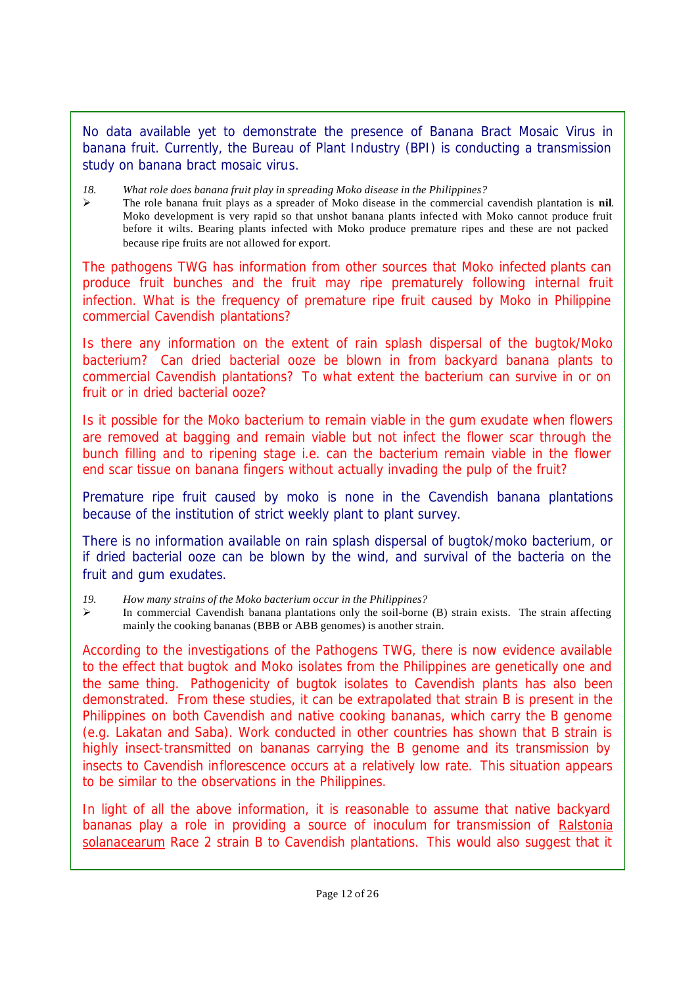No data available yet to demonstrate the presence of Banana Bract Mosaic Virus in banana fruit. Currently, the Bureau of Plant Industry (BPI) is conducting a transmission study on banana bract mosaic virus.

- *18. What role does banana fruit play in spreading Moko disease in the Philippines?*
- ÿ The role banana fruit plays as a spreader of Moko disease in the commercial cavendish plantation is **nil**. Moko development is very rapid so that unshot banana plants infected with Moko cannot produce fruit before it wilts. Bearing plants infected with Moko produce premature ripes and these are not packed because ripe fruits are not allowed for export.

*The pathogens TWG has information from other sources that Moko infected plants can produce fruit bunches and the fruit may ripe prematurely following internal fruit infection. What is the frequency of premature ripe fruit caused by Moko in Philippine commercial Cavendish plantations?*

*Is there any information on the extent of rain splash dispersal of the bugtok/Moko bacterium? Can dried bacterial ooze be blown in from backyard banana plants to commercial Cavendish plantations? To what extent the bacterium can survive in or on fruit or in dried bacterial ooze?*

*Is it possible for the Moko bacterium to remain viable in the gum exudate when flowers are removed at bagging and remain viable but not infect the flower scar through the bunch filling and to ripening stage i.e. can the bacterium remain viable in the flower end scar tissue on banana fingers without actually invading the pulp of the fruit?*

Premature ripe fruit caused by moko is none in the Cavendish banana plantations because of the institution of strict weekly plant to plant survey.

There is no information available on rain splash dispersal of bugtok/moko bacterium, or if dried bacterial ooze can be blown by the wind, and survival of the bacteria on the fruit and gum exudates.

*19. How many strains of the Moko bacterium occur in the Philippines?*

 $\triangleright$  In commercial Cavendish banana plantations only the soil-borne (B) strain exists. The strain affecting mainly the cooking bananas (BBB or ABB genomes) is another strain.

*According to the investigations of the Pathogens TWG, there is now evidence available to the effect that bugtok and Moko isolates from the Philippines are genetically one and the same thing. Pathogenicity of bugtok isolates to Cavendish plants has also been demonstrated. From these studies, it can be extrapolated that strain B is present in the Philippines on both Cavendish and native cooking bananas, which carry the B genome (e.g. Lakatan and Saba). Work conducted in other countries has shown that B strain is highly insect-transmitted on bananas carrying the B genome and its transmission by insects to Cavendish inflorescence occurs at a relatively low rate. This situation appears to be similar to the observations in the Philippines.*

In light of all the above information, it is reasonable to assume that native backyard *bananas play a role in providing a source of inoculum for transmission of Ralstonia solanacearum Race 2 strain B to Cavendish plantations. This would also suggest that it*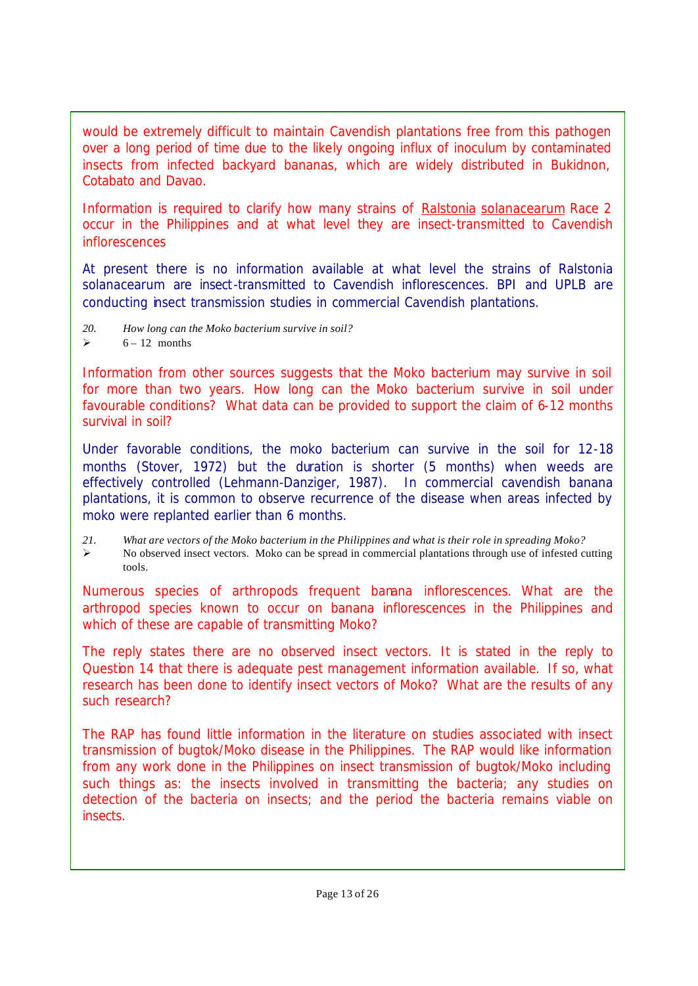*would be extremely difficult to maintain Cavendish plantations free from this pathogen over a long period of time due to the likely ongoing influx of inoculum by contaminated insects from infected backyard bananas, which are widely distributed in Bukidnon, Cotabato and Davao.*

*Information is required to clarify how many strains of Ralstonia solanacearum Race 2 occur in the Philippines and at what level they are insect-transmitted to Cavendish inflorescences*

At present there is no information available at what level the strains of *Ralstonia solanacearum* are insect-transmitted to Cavendish inflorescences. BPI and UPLB are conducting insect transmission studies in commercial Cavendish plantations.

- *20. How long can the Moko bacterium survive in soil?*
- $\geq$  6 12 months

Information from other sources suggests that the Moko bacterium may survive in soil *for more than two years. How long can the Moko bacterium survive in soil under favourable conditions? What data can be provided to support the claim of 6-12 months survival in soil?*

Under favorable conditions, the moko bacterium can survive in the soil for 12-18 months (Stover, 1972) but the duration is shorter (5 months) when weeds are effectively controlled (Lehmann-Danziger, 1987). In commercial cavendish banana plantations, it is common to observe recurrence of the disease when areas infected by moko were replanted earlier than 6 months.

*21. What are vectors of the Moko bacterium in the Philippines and what is their role in spreading Moko?*  $\triangleright$  No observed insect vectors. Moko can be spread in commercial plantations through use of infested cutting tools.

*Numerous species of arthropods frequent banana inflorescences. What are the arthropod species known to occur on banana inflorescences in the Philippines and which of these are capable of transmitting Moko?*

*The reply states there are no observed insect vectors. It is stated in the reply to Question 14 that there is adequate pest management information available. If so, what research has been done to identify insect vectors of Moko? What are the results of any such research?*

*The RAP has found little information in the literature on studies associated with insect transmission of bugtok/Moko disease in the Philippines. The RAP would like information from any work done in the Philippines on insect transmission of bugtok/Moko including such things as: the insects involved in transmitting the bacteria; any studies on detection of the bacteria on insects; and the period the bacteria remains viable on insects.*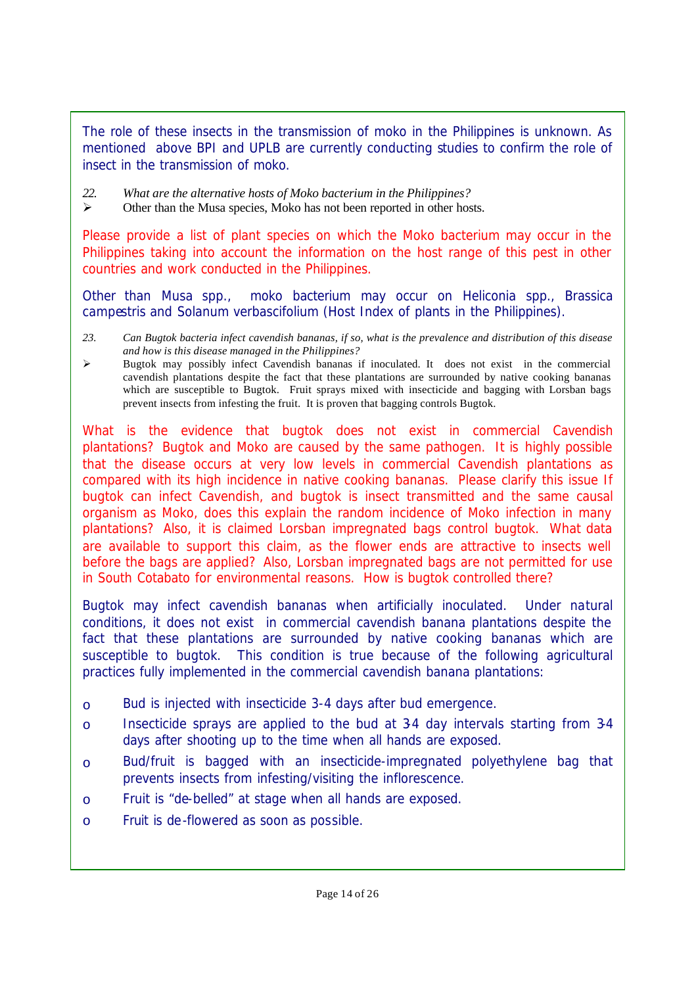The role of these insects in the transmission of moko in the Philippines is unknown. As mentioned above BPI and UPLB are currently conducting studies to confirm the role of insect in the transmission of moko.

- *22. What are the alternative hosts of Moko bacterium in the Philippines?*
- $\triangleright$  Other than the Musa species, Moko has not been reported in other hosts.

*Please provide a list of plant species on which the Moko bacterium may occur in the Philippines taking into account the information on the host range of this pest in other countries and work conducted in the Philippines.*

Other than *Musa spp.,* moko bacterium may occur on *Heliconia spp., Brassica campestris* and *Solanum verbascifolium* (Host Index of plants in the Philippines).

- *23. Can Bugtok bacteria infect cavendish bananas, if so, what is the prevalence and distribution of this disease and how is this disease managed in the Philippines?*
- $\triangleright$  Bugtok may possibly infect Cavendish bananas if inoculated. It does not exist in the commercial cavendish plantations despite the fact that these plantations are surrounded by native cooking bananas which are susceptible to Bugtok. Fruit sprays mixed with insecticide and bagging with Lorsban bags prevent insects from infesting the fruit. It is proven that bagging controls Bugtok.

*What is the evidence that bugtok does not exist in commercial Cavendish plantations? Bugtok and Moko are caused by the same pathogen. It is highly possible that the disease occurs at very low levels in commercial Cavendish plantations as compared with its high incidence in native cooking bananas. Please clarify this issue If bugtok can infect Cavendish, and bugtok is insect transmitted and the same causal organism as Moko, does this explain the random incidence of Moko infection in many plantations? Also, it is claimed Lorsban impregnated bags control bugtok. What data are available to support this claim, as the flower ends are attractive to insects well before the bags are applied? Also, Lorsban impregnated bags are not permitted for use in South Cotabato for environmental reasons. How is bugtok controlled there?* 

Bugtok may infect cavendish bananas when artificially inoculated. Under natural conditions, it does not exist in commercial cavendish banana plantations despite the fact that these plantations are surrounded by native cooking bananas which are susceptible to bugtok. This condition is true because of the following agricultural practices fully implemented in the commercial cavendish banana plantations:

- o Bud is injected with insecticide 3-4 days after bud emergence.
- o Insecticide sprays are applied to the bud at 3-4 day intervals starting from 3-4 days after shooting up to the time when all hands are exposed.
- o Bud/fruit is bagged with an insecticide-impregnated polyethylene bag that prevents insects from infesting/visiting the inflorescence.
- o Fruit is "de-belled" at stage when all hands are exposed.
- o Fruit is de-flowered as soon as possible.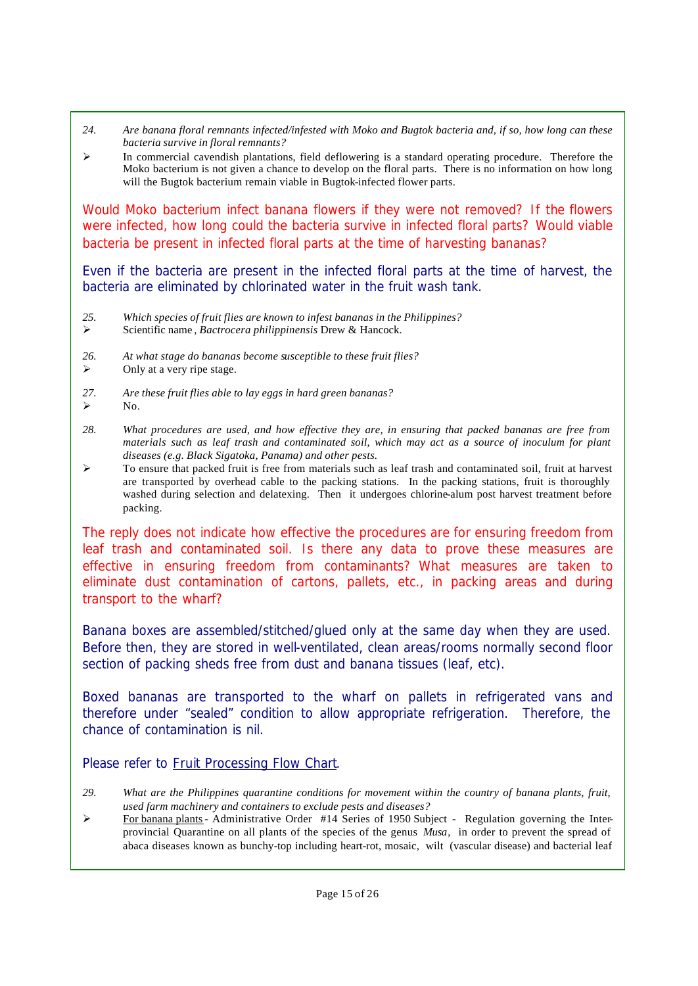- *24. Are banana floral remnants infected/infested with Moko and Bugtok bacteria and, if so, how long can these bacteria survive in floral remnants?*
- $\triangleright$  In commercial cavendish plantations, field deflowering is a standard operating procedure. Therefore the Moko bacterium is not given a chance to develop on the floral parts. There is no information on how long will the Bugtok bacterium remain viable in Bugtok-infected flower parts.

*Would Moko bacterium infect banana flowers if they were not removed? If the flowers were infected, how long could the bacteria survive in infected floral parts? Would viable bacteria be present in infected floral parts at the time of harvesting bananas?*

Even if the bacteria are present in the infected floral parts at the time of harvest, the bacteria are eliminated by chlorinated water in the fruit wash tank.

- *25. Which species of fruit flies are known to infest bananas in the Philippines?*
- ÿ Scientific name *, Bactrocera philippinensis* Drew & Hancock.
- *26. At what stage do bananas become susceptible to these fruit flies?*
- $\triangleright$  Only at a very ripe stage.
- *27. Are these fruit flies able to lay eggs in hard green bananas?*  $\triangleright$  No.
- *28. What procedures are used, and how effective they are, in ensuring that packed bananas are free from materials such as leaf trash and contaminated soil, which may act as a source of inoculum for plant diseases (e.g. Black Sigatoka, Panama) and other pests.*
- $\geq$  To ensure that packed fruit is free from materials such as leaf trash and contaminated soil, fruit at harvest are transported by overhead cable to the packing stations. In the packing stations, fruit is thoroughly washed during selection and delatexing. Then it undergoes chlorine-alum post harvest treatment before packing.

*The reply does not indicate how effective the procedures are for ensuring freedom from leaf trash and contaminated soil. Is there any data to prove these measures are effective in ensuring freedom from contaminants? What measures are taken to eliminate dust contamination of cartons, pallets, etc., in packing areas and during transport to the wharf?*

Banana boxes are assembled/stitched/glued only at the same day when they are used. Before then, they are stored in well-ventilated, clean areas/rooms normally second floor section of packing sheds free from dust and banana tissues (leaf, etc).

Boxed bananas are transported to the wharf on pallets in refrigerated vans and therefore under "sealed" condition to allow appropriate refrigeration. Therefore, the chance of contamination is nil.

Please refer to Fruit Processing Flow Chart.

- *29. What are the Philippines quarantine conditions for movement within the country of banana plants, fruit, used farm machinery and containers to exclude pests and diseases?*
- <sup>></sup> For banana plants- Administrative Order #14 Series of 1950 Subject Regulation governing the Interprovincial Quarantine on all plants of the species of the genus *Musa*, in order to prevent the spread of abaca diseases known as bunchy-top including heart-rot, mosaic, wilt (vascular disease) and bacterial leaf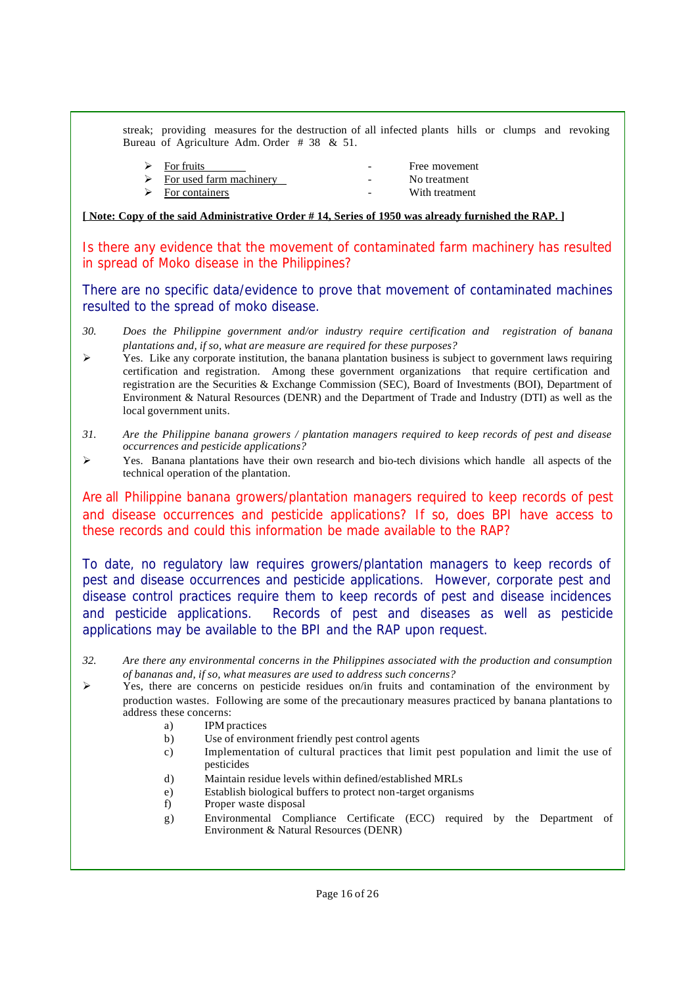streak; providing measures for the destruction of all infected plants hills or clumps and revoking Bureau of Agriculture Adm. Order # 38 & 51.

| $\triangleright$ For fruits              |        | Free movement  |
|------------------------------------------|--------|----------------|
| $\triangleright$ For used farm machinery | $\sim$ | No treatment   |
| $\triangleright$ For containers          |        | With treatment |

#### **[ Note: Copy of the said Administrative Order # 14, Series of 1950 was already furnished the RAP. ]**

*Is there any evidence that the movement of contaminated farm machinery has resulted in spread of Moko disease in the Philippines?*

There are no specific data/evidence to prove that movement of contaminated machines resulted to the spread of moko disease.

- *30. Does the Philippine government and/or industry require certification and registration of banana plantations and, if so, what are measure are required for these purposes?*
- $\triangleright$  Yes. Like any corporate institution, the banana plantation business is subject to government laws requiring certification and registration. Among these government organizations that require certification and registration are the Securities & Exchange Commission (SEC), Board of Investments (BOI), Department of Environment & Natural Resources (DENR) and the Department of Trade and Industry (DTI) as well as the local government units.
- *31. Are the Philippine banana growers / plantation managers required to keep records of pest and disease occurrences and pesticide applications?*
- ÿ Yes. Banana plantations have their own research and bio-tech divisions which handle all aspects of the technical operation of the plantation.

*Are all Philippine banana growers/plantation managers required to keep records of pest and disease occurrences and pesticide applications? If so, does BPI have access to these records and could this information be made available to the RAP?*

To date, no regulatory law requires growers/plantation managers to keep records of pest and disease occurrences and pesticide applications. However, corporate pest and disease control practices require them to keep records of pest and disease incidences and pesticide applications. Records of pest and diseases as well as pesticide applications may be available to the BPI and the RAP upon request.

- *32. Are there any environmental concerns in the Philippines associated with the production and consumption of bananas and, if so, what measures are used to address such concerns?*
- $\triangleright$  Yes, there are concerns on pesticide residues on/in fruits and contamination of the environment by production wastes. Following are some of the precautionary measures practiced by banana plantations to address these concerns:
	- a) IPM practices
	- b) Use of environment friendly pest control agents
	- c) Implementation of cultural practices that limit pest population and limit the use of pesticides
	- d) Maintain residue levels within defined/established MRLs
	- e) Establish biological buffers to protect non-target organisms
	- f) Proper waste disposal
	- g) Environmental Compliance Certificate (ECC) required by the Department of Environment & Natural Resources (DENR)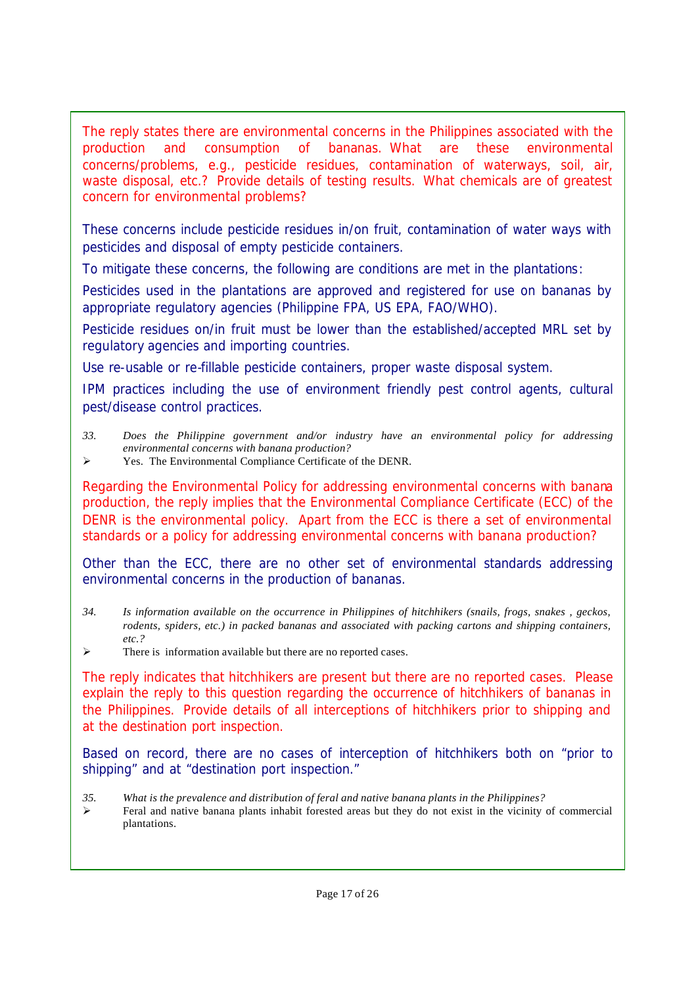*The reply states there are environmental concerns in the Philippines associated with the production and consumption of bananas. What are these environmental concerns/problems, e.g., pesticide residues, contamination of waterways, soil, air, waste disposal, etc.? Provide details of testing results. What chemicals are of greatest concern for environmental problems?*

These concerns include pesticide residues in/on fruit, contamination of water ways with pesticides and disposal of empty pesticide containers.

To mitigate these concerns, the following are conditions are met in the plantations:

Pesticides used in the plantations are approved and registered for use on bananas by appropriate regulatory agencies (Philippine FPA, US EPA, FAO/WHO).

Pesticide residues on/in fruit must be lower than the established/accepted MRL set by regulatory agencies and importing countries.

Use re-usable or re-fillable pesticide containers, proper waste disposal system.

IPM practices including the use of environment friendly pest control agents, cultural pest/disease control practices.

- *33. Does the Philippine government and/or industry have an environmental policy for addressing environmental concerns with banana production?*
- ÿ Yes. The Environmental Compliance Certificate of the DENR.

*Regarding the Environmental Policy for addressing environmental concerns with banana production, the reply implies that the Environmental Compliance Certificate (ECC) of the DENR is the environmental policy. Apart from the ECC is there a set of environmental standards or a policy for addressing environmental concerns with banana production?*

Other than the ECC, there are no other set of environmental standards addressing environmental concerns in the production of bananas.

- *34. Is information available on the occurrence in Philippines of hitchhikers (snails, frogs, snakes , geckos, rodents, spiders, etc.) in packed bananas and associated with packing cartons and shipping containers, etc.?*
- $\triangleright$  There is information available but there are no reported cases.

*The reply indicates that hitchhikers are present but there are no reported cases. Please explain the reply to this question regarding the occurrence of hitchhikers of bananas in the Philippines. Provide details of all interceptions of hitchhikers prior to shipping and at the destination port inspection.*

Based on record, there are no cases of interception of hitchhikers both on "prior to shipping" and at "destination port inspection."

- *35. What is the prevalence and distribution of feral and native banana plants in the Philippines?*
- $\triangleright$  Feral and native banana plants inhabit forested areas but they do not exist in the vicinity of commercial plantations.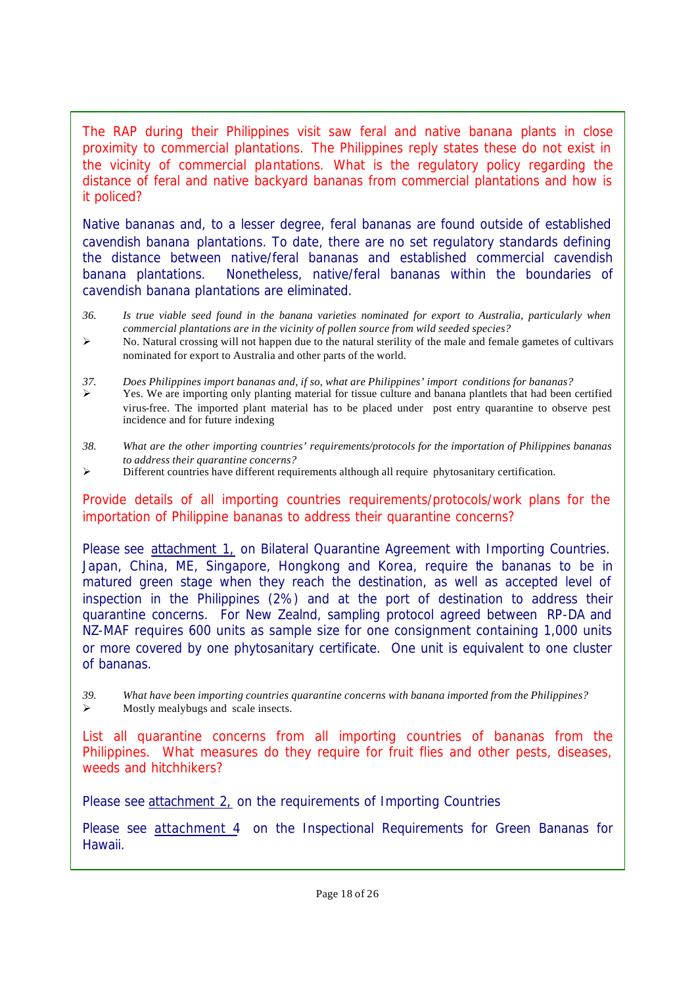*The RAP during their Philippines visit saw feral and native banana plants in close proximity to commercial plantations. The Philippines reply states these do not exist in the vicinity of commercial plantations. What is the regulatory policy regarding the distance of feral and native backyard bananas from commercial plantations and how is it policed?*

Native bananas and, to a lesser degree, feral bananas are found outside of established cavendish banana plantations. To date, there are no set regulatory standards defining the distance between native/feral bananas and established commercial cavendish banana plantations. Nonetheless, native/feral bananas within the boundaries of cavendish banana plantations are eliminated.

- *36. Is true viable seed found in the banana varieties nominated for export to Australia, particularly when commercial plantations are in the vicinity of pollen source from wild seeded species?*
- $\triangleright$  No. Natural crossing will not happen due to the natural sterility of the male and female gametes of cultivars nominated for export to Australia and other parts of the world.
- *37. Does Philippines import bananas and, if so, what are Philippines' import conditions for bananas?* ÿ Yes. We are importing only planting material for tissue culture and banana plantlets that had been certified virus-free. The imported plant material has to be placed under post entry quarantine to observe pest incidence and for future indexing
- *38. What are the other importing countries' requirements/protocols for the importation of Philippines bananas to address their quarantine concerns?*
- $\triangleright$  Different countries have different requirements although all require phytosanitary certification.

*Provide details of all importing countries requirements/protocols/work plans for the importation of Philippine bananas to address their quarantine concerns?*

Please see attachment 1, on Bilateral Quarantine Agreement with Importing Countries. Japan, China, ME, Singapore, Hongkong and Korea, require the bananas to be in matured green stage when they reach the destination, as well as accepted level of inspection in the Philippines (2%) and at the port of destination to address their quarantine concerns. For New Zealnd, sampling protocol agreed between RP-DA and NZ-MAF requires 600 units as sample size for one consignment containing 1,000 units or more covered by one phytosanitary certificate. One unit is equivalent to one cluster of bananas.

*39. What have been importing countries quarantine concerns with banana imported from the Philippines?*  $\triangleright$  Mostly mealybugs and scale insects.

*List all quarantine concerns from all importing countries of bananas from the Philippines. What measures do they require for fruit flies and other pests, diseases, weeds and hitchhikers?*

Please see attachment 2, on the requirements of Importing Countries

Please see attachment 4 on the Inspectional Requirements for Green Bananas for Hawaii.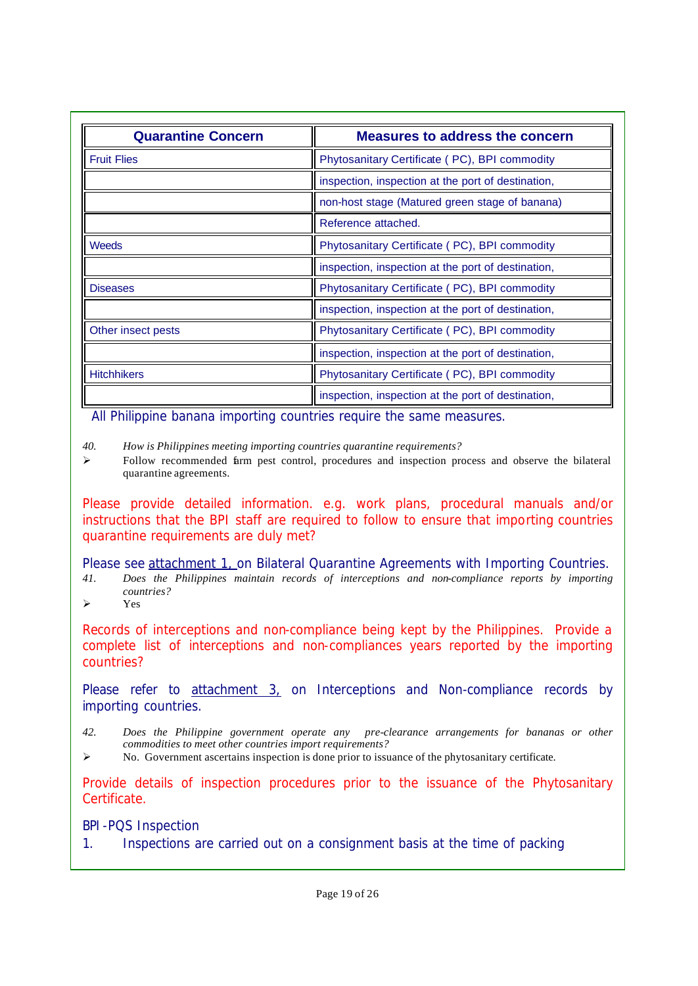| <b>Quarantine Concern</b> | <b>Measures to address the concern</b>             |
|---------------------------|----------------------------------------------------|
| <b>Fruit Flies</b>        | Phytosanitary Certificate (PC), BPI commodity      |
|                           | inspection, inspection at the port of destination, |
|                           | non-host stage (Matured green stage of banana)     |
|                           | Reference attached.                                |
| Weeds                     | Phytosanitary Certificate (PC), BPI commodity      |
|                           | inspection, inspection at the port of destination, |
| <b>Diseases</b>           | Phytosanitary Certificate (PC), BPI commodity      |
|                           | inspection, inspection at the port of destination, |
| Other insect pests        | Phytosanitary Certificate (PC), BPI commodity      |
|                           | inspection, inspection at the port of destination, |
| <b>Hitchhikers</b>        | Phytosanitary Certificate (PC), BPI commodity      |
|                           | inspection, inspection at the port of destination, |

All Philippine banana importing countries require the same measures.

*40. How is Philippines meeting importing countries quarantine requirements?*

 $\triangleright$  Follow recommended farm pest control, procedures and inspection process and observe the bilateral quarantine agreements.

*Please provide detailed information. e.g. work plans, procedural manuals and/or instructions that the BPI staff are required to follow to ensure that importing countries quarantine requirements are duly met?*

Please see attachment 1, on Bilateral Quarantine Agreements with Importing Countries.

- *41. Does the Philippines maintain records of interceptions and non-compliance reports by importing countries?*
- $\triangleright$  Yes

*Records of interceptions and non-compliance being kept by the Philippines. Provide a complete list of interceptions and non-compliances years reported by the importing countries?*

Please refer to attachment 3, on Interceptions and Non-compliance records by importing countries.

- *42. Does the Philippine government operate any pre-clearance arrangements for bananas or other commodities to meet other countries import requirements?*
- $\triangleright$  No. Government ascertains inspection is done prior to issuance of the phytosanitary certificate.

*Provide details of inspection procedures prior to the issuance of the Phytosanitary Certificate.*

BPI-PQS Inspection

1. Inspections are carried out on a consignment basis at the time of packing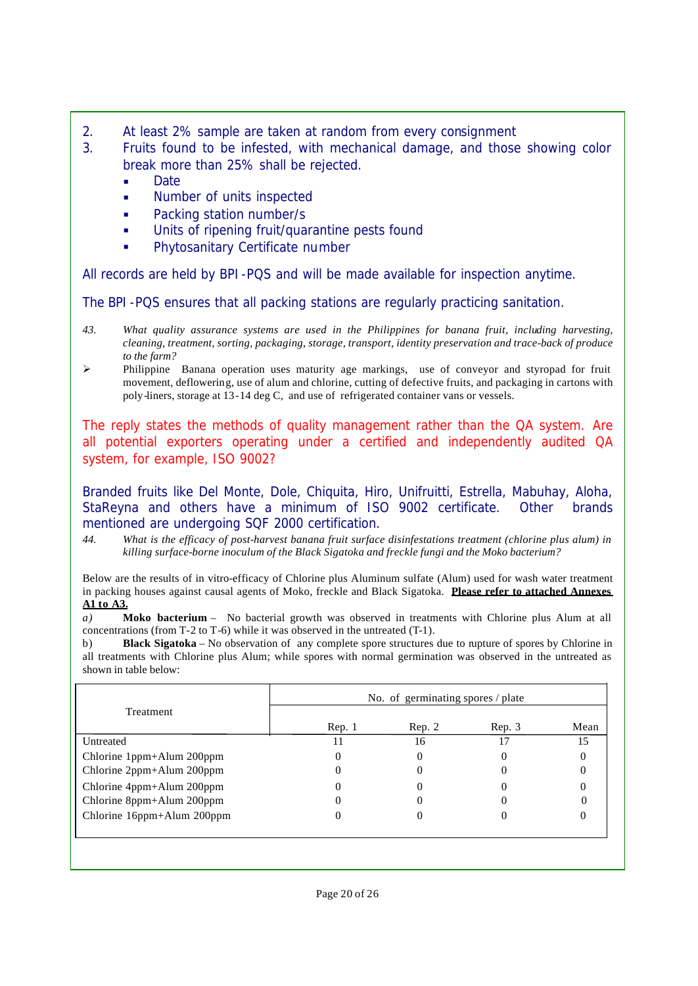- 2. At least 2% sample are taken at random from every consignment
- 3. Fruits found to be infested, with mechanical damage, and those showing color break more than 25% shall be rejected.
	- Date
	- ß Number of units inspected
	- Packing station number/s
	- Units of ripening fruit/quarantine pests found
	- ß Phytosanitary Certificate number

All records are held by BPI-PQS and will be made available for inspection anytime.

The BPI-PQS ensures that all packing stations are regularly practicing sanitation.

- *43. What quality assurance systems are used in the Philippines for banana fruit, including harvesting, cleaning, treatment, sorting, packaging, storage, transport, identity preservation and trace-back of produce to the farm?*
- $\triangleright$  Philippine Banana operation uses maturity age markings, use of conveyor and styropad for fruit movement, deflowering, use of alum and chlorine, cutting of defective fruits, and packaging in cartons with poly-liners, storage at 13-14 deg C, and use of refrigerated container vans or vessels.

*The reply states the methods of quality management rather than the QA system. Are all potential exporters operating under a certified and independently audited QA system, for example, ISO 9002?*

Branded fruits like Del Monte, Dole, Chiquita, Hiro, Unifruitti, Estrella, Mabuhay, Aloha, StaReyna and others have a minimum of ISO 9002 certificate. Other brands mentioned are undergoing SQF 2000 certification.

*44. What is the efficacy of post-harvest banana fruit surface disinfestations treatment (chlorine plus alum) in killing surface-borne inoculum of the Black Sigatoka and freckle fungi and the Moko bacterium?*

Below are the results of in vitro-efficacy of Chlorine plus Aluminum sulfate (Alum) used for wash water treatment in packing houses against causal agents of Moko, freckle and Black Sigatoka. **Please refer to attached Annexes A1 to A3.**

*a)* **Moko bacterium** – No bacterial growth was observed in treatments with Chlorine plus Alum at all concentrations (from T-2 to T-6) while it was observed in the untreated (T-1).

b) **Black Sigatoka** – No observation of any complete spore structures due to rupture of spores by Chlorine in all treatments with Chlorine plus Alum; while spores with normal germination was observed in the untreated as shown in table below:

|                            | No. of germinating spores / plate |        |        |      |  |
|----------------------------|-----------------------------------|--------|--------|------|--|
| Treatment                  | Rep. 1                            | Rep. 2 | Rep. 3 | Mean |  |
| Untreated                  | 11                                | 16     | 17     | 15   |  |
| Chlorine 1ppm+Alum 200ppm  |                                   | 0      |        |      |  |
| Chlorine 2ppm+Alum 200ppm  |                                   |        |        |      |  |
| Chlorine 4ppm+Alum 200ppm  |                                   |        |        |      |  |
| Chlorine 8ppm+Alum 200ppm  |                                   |        |        |      |  |
| Chlorine 16ppm+Alum 200ppm |                                   |        |        |      |  |
|                            |                                   |        |        |      |  |
|                            |                                   |        |        |      |  |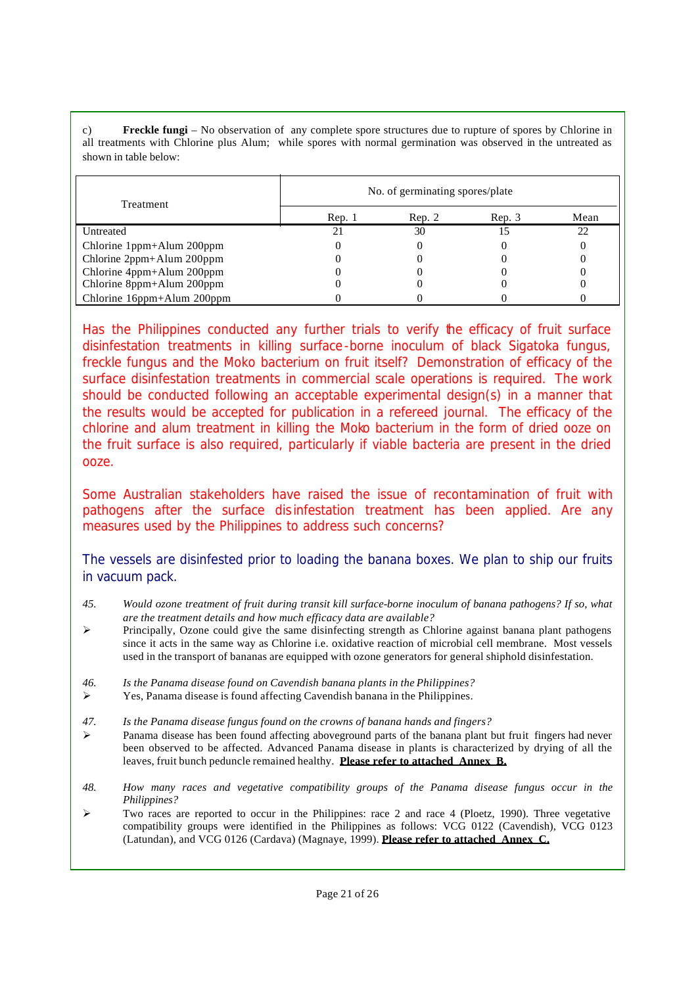**Freckle fungi** – No observation of any complete spore structures due to rupture of spores by Chlorine in all treatments with Chlorine plus Alum; while spores with normal germination was observed in the untreated as shown in table below:

| Treatment                  | No. of germinating spores/plate |        |        |      |  |
|----------------------------|---------------------------------|--------|--------|------|--|
|                            | Rep. 1                          | Rep. 2 | Rep. 3 | Mean |  |
| Untreated                  |                                 | 30     |        | つつ   |  |
| Chlorine 1ppm+Alum 200ppm  |                                 |        |        |      |  |
| Chlorine 2ppm+Alum 200ppm  |                                 |        |        |      |  |
| Chlorine 4ppm+Alum 200ppm  |                                 |        |        |      |  |
| Chlorine 8ppm+Alum 200ppm  |                                 |        |        |      |  |
| Chlorine 16ppm+Alum 200ppm |                                 |        |        |      |  |

*Has the Philippines conducted any further trials to verify the efficacy of fruit surface disinfestation treatments in killing surface-borne inoculum of black Sigatoka fungus, freckle fungus and the Moko bacterium on fruit itself? Demonstration of efficacy of the surface disinfestation treatments in commercial scale operations is required. The work should be conducted following an acceptable experimental design(s) in a manner that the results would be accepted for publication in a refereed journal. The efficacy of the chlorine and alum treatment in killing the Moko bacterium in the form of dried ooze on the fruit surface is also required, particularly if viable bacteria are present in the dried ooze.*

*Some Australian stakeholders have raised the issue of recontamination of fruit with pathogens after the surface dis infestation treatment has been applied. Are any measures used by the Philippines to address such concerns?*

The vessels are disinfested prior to loading the banana boxes. We plan to ship our fruits in vacuum pack.

- *45. Would ozone treatment of fruit during transit kill surface-borne inoculum of banana pathogens? If so, what are the treatment details and how much efficacy data are available?*
- $\triangleright$  Principally, Ozone could give the same disinfecting strength as Chlorine against banana plant pathogens since it acts in the same way as Chlorine i.e. oxidative reaction of microbial cell membrane. Most vessels used in the transport of bananas are equipped with ozone generators for general shiphold disinfestation.
- *46. Is the Panama disease found on Cavendish banana plants in the Philippines?*
- $\triangleright$  Yes, Panama disease is found affecting Cavendish banana in the Philippines.
- *47. Is the Panama disease fungus found on the crowns of banana hands and fingers?*
- $\triangleright$  Panama disease has been found affecting aboveground parts of the banana plant but fruit fingers had never been observed to be affected. Advanced Panama disease in plants is characterized by drying of all the leaves, fruit bunch peduncle remained healthy. **Please refer to attached Annex B.**
- *48. How many races and vegetative compatibility groups of the Panama disease fungus occur in the Philippines?*
- ÿ Two races are reported to occur in the Philippines: race 2 and race 4 (Ploetz, 1990). Three vegetative compatibility groups were identified in the Philippines as follows: VCG 0122 (Cavendish), VCG 0123 (Latundan), and VCG 0126 (Cardava) (Magnaye, 1999). **Please refer to attached Annex C.**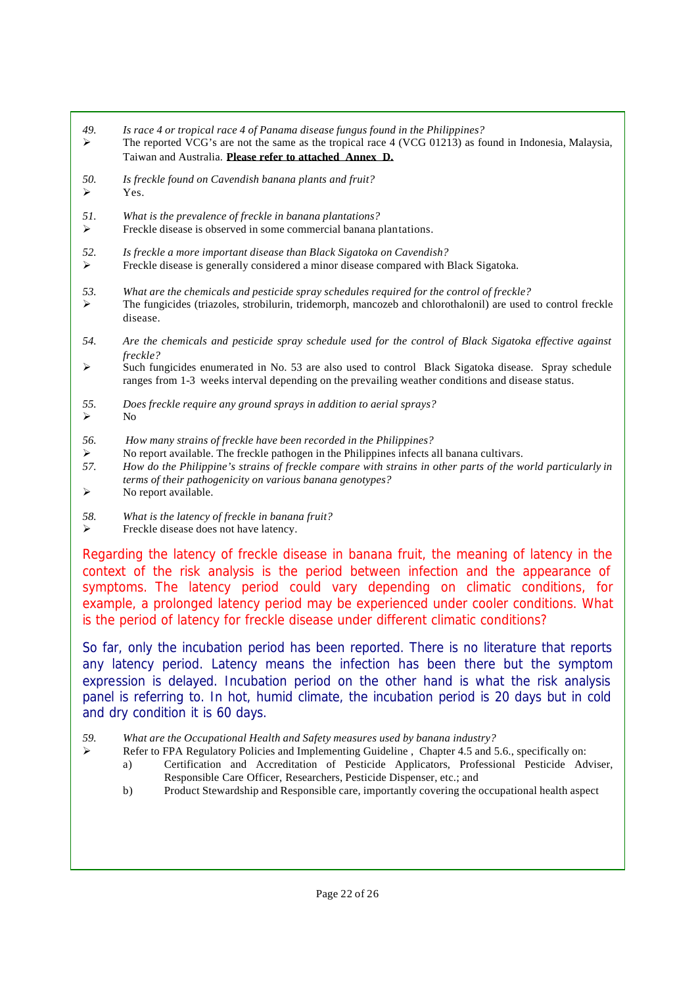- *49. Is race 4 or tropical race 4 of Panama disease fungus found in the Philippines?*
- $\triangleright$  The reported VCG's are not the same as the tropical race 4 (VCG 01213) as found in Indonesia, Malaysia, Taiwan and Australia. **Please refer to attached Annex D.**
- *50. Is freckle found on Cavendish banana plants and fruit?*  $\triangleright$  Yes.
- *51. What is the prevalence of freckle in banana plantations?*
- Freckle disease is observed in some commercial banana plantations.
- *52. Is freckle a more important disease than Black Sigatoka on Cavendish?*
- $\triangleright$  Freckle disease is generally considered a minor disease compared with Black Sigatoka.
- *53. What are the chemicals and pesticide spray schedules required for the control of freckle?*
- ÿ The fungicides (triazoles, strobilurin, tridemorph, mancozeb and chlorothalonil) are used to control freckle disease.
- *54. Are the chemicals and pesticide spray schedule used for the control of Black Sigatoka effective against freckle?*
- $\triangleright$  Such fungicides enumerated in No. 53 are also used to control Black Sigatoka disease. Spray schedule ranges from 1-3 weeks interval depending on the prevailing weather conditions and disease status.
- *55. Does freckle require any ground sprays in addition to aerial sprays?*

- *56. How many strains of freckle have been recorded in the Philippines?*
- $\triangleright$  No report available. The freckle pathogen in the Philippines infects all banana cultivars.
- *57. How do the Philippine's strains of freckle compare with strains in other parts of the world particularly in terms of their pathogenicity on various banana genotypes?*
- $\triangleright$  No report available.
- *58. What is the latency of freckle in banana fruit?*
- Freckle disease does not have latency.

*Regarding the latency of freckle disease in banana fruit, the meaning of latency in the context of the risk analysis is the period between infection and the appearance of symptoms. The latency period could vary depending on climatic conditions, for example, a prolonged latency period may be experienced under cooler conditions. What is the period of latency for freckle disease under different climatic conditions?*

So far, only the incubation period has been reported. There is no literature that reports any latency period. Latency means the infection has been there but the symptom expression is delayed. Incubation period on the other hand is what the risk analysis panel is referring to. In hot, humid climate, the incubation period is 20 days but in cold and dry condition it is 60 days.

- $\triangleright$  Refer to FPA Regulatory Policies and Implementing Guideline, Chapter 4.5 and 5.6., specifically on:
	- a) Certification and Accreditation of Pesticide Applicators, Professional Pesticide Adviser, Responsible Care Officer, Researchers, Pesticide Dispenser, etc.; and
	- b) Product Stewardship and Responsible care, importantly covering the occupational health aspect

 $\triangleright$  No

*<sup>59.</sup> What are the Occupational Health and Safety measures used by banana industry?*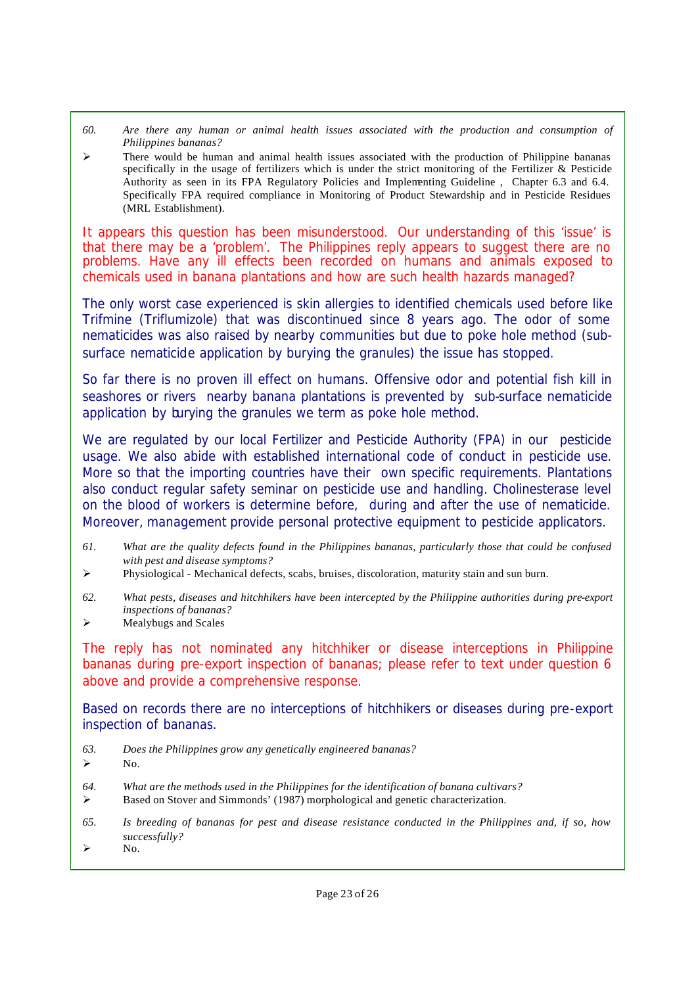- *60. Are there any human or animal health issues associated with the production and consumption of Philippines bananas?*
- $\triangleright$  There would be human and animal health issues associated with the production of Philippine bananas specifically in the usage of fertilizers which is under the strict monitoring of the Fertilizer & Pesticide Authority as seen in its FPA Regulatory Policies and Implementing Guideline , Chapter 6.3 and 6.4. Specifically FPA required compliance in Monitoring of Product Stewardship and in Pesticide Residues (MRL Establishment).

*It appears this question has been misunderstood. Our understanding of this 'issue' is that there may be a 'problem'. The Philippines reply appears to suggest there are no problems. Have any ill effects been recorded on humans and animals exposed to chemicals used in banana plantations and how are such health hazards managed?*

The only worst case experienced is skin allergies to identified chemicals used before like Trifmine (Triflumizole) that was discontinued since 8 years ago. The odor of some nematicides was also raised by nearby communities but due to poke hole method (subsurface nematicide application by burying the granules) the issue has stopped.

So far there is no proven ill effect on humans. Offensive odor and potential fish kill in seashores or rivers nearby banana plantations is prevented by sub-surface nematicide application by burying the granules we term as poke hole method.

We are regulated by our local Fertilizer and Pesticide Authority (FPA) in our pesticide usage. We also abide with established international code of conduct in pesticide use. More so that the importing countries have their own specific requirements. Plantations also conduct regular safety seminar on pesticide use and handling. Cholinesterase level on the blood of workers is determine before, during and after the use of nematicide. Moreover, management provide personal protective equipment to pesticide applicators.

- *61. What are the quality defects found in the Philippines bananas, particularly those that could be confused with pest and disease symptoms?*
- $\triangleright$  Physiological Mechanical defects, scabs, bruises, discoloration, maturity stain and sun burn.
- *62. What pests, diseases and hitchhikers have been intercepted by the Philippine authorities during pre-export inspections of bananas?*
- $\triangleright$  Mealybugs and Scales

*The reply has not nominated any hitchhiker or disease interceptions in Philippine bananas during pre-export inspection of bananas; please refer to text under question 6 above and provide a comprehensive response.*

Based on records there are no interceptions of hitchhikers or diseases during pre-export inspection of bananas.

- *63. Does the Philippines grow any genetically engineered bananas?*
- $\triangleright$  No.
- *64. What are the methods used in the Philippines for the identification of banana cultivars?*
- $\triangleright$  Based on Stover and Simmonds' (1987) morphological and genetic characterization.
- *65. Is breeding of bananas for pest and disease resistance conducted in the Philippines and, if so, how successfully?*
- $\triangleright$  No.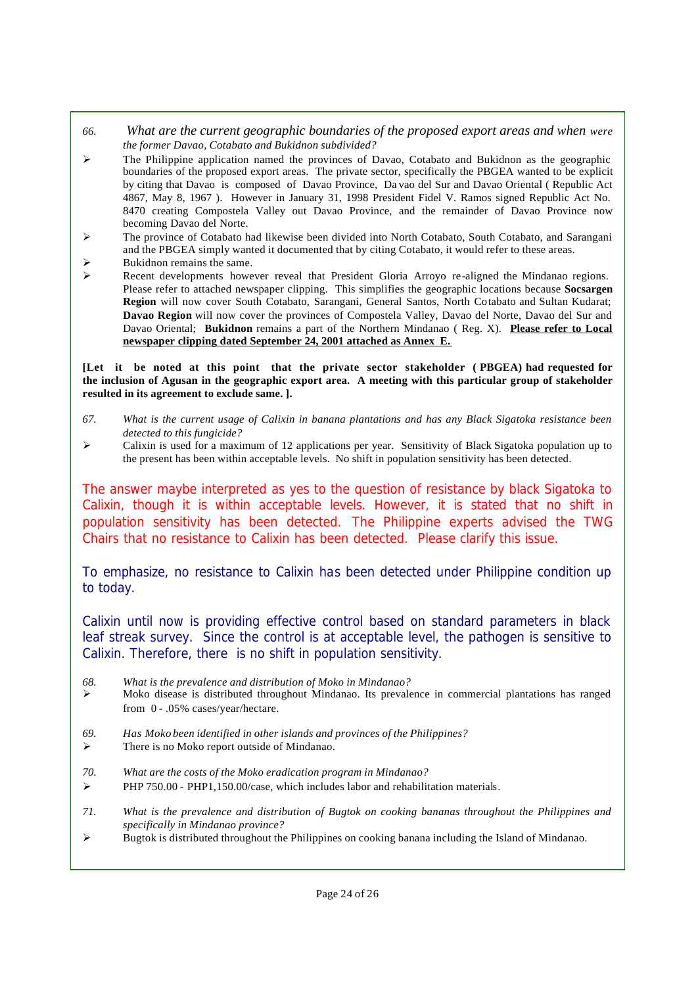- *66. What are the current geographic boundaries of the proposed export areas and when were the former Davao, Cotabato and Bukidnon subdivided?*
- $\geq$  The Philippine application named the provinces of Davao, Cotabato and Bukidnon as the geographic boundaries of the proposed export areas. The private sector, specifically the PBGEA wanted to be explicit by citing that Davao is composed of Davao Province, Da vao del Sur and Davao Oriental ( Republic Act 4867, May 8, 1967 ). However in January 31, 1998 President Fidel V. Ramos signed Republic Act No. 8470 creating Compostela Valley out Davao Province, and the remainder of Davao Province now becoming Davao del Norte.
- ÿ The province of Cotabato had likewise been divided into North Cotabato, South Cotabato, and Sarangani and the PBGEA simply wanted it documented that by citing Cotabato, it would refer to these areas.
- $\triangleright$  Bukidnon remains the same.
- $\triangleright$  Recent developments however reveal that President Gloria Arroyo re-aligned the Mindanao regions. Please refer to attached newspaper clipping. This simplifies the geographic locations because **Socsargen Region** will now cover South Cotabato, Sarangani, General Santos, North Cotabato and Sultan Kudarat; **Davao Region** will now cover the provinces of Compostela Valley, Davao del Norte, Davao del Sur and Davao Oriental; **Bukidnon** remains a part of the Northern Mindanao ( Reg. X). **Please refer to Local newspaper clipping dated September 24, 2001 attached as Annex E.**

**[Let it be noted at this point that the private sector stakeholder ( PBGEA) had requested for the inclusion of Agusan in the geographic export area. A meeting with this particular group of stakeholder resulted in its agreement to exclude same. ].**

- *67. What is the current usage of Calixin in banana plantations and has any Black Sigatoka resistance been detected to this fungicide?*
- $\geq$  Calixin is used for a maximum of 12 applications per year. Sensitivity of Black Sigatoka population up to the present has been within acceptable levels. No shift in population sensitivity has been detected.

*The answer maybe interpreted as yes to the question of resistance by black Sigatoka to Calixin, though it is within acceptable levels. However, it is stated that no shift in population sensitivity has been detected. The Philippine experts advised the TWG Chairs that no resistance to Calixin has been detected. Please clarify this issue.*

To emphasize, no resistance to Calixin has been detected under Philippine condition up to today.

Calixin until now is providing effective control based on standard parameters in black leaf streak survey. Since the control is at acceptable level, the pathogen is sensitive to Calixin. Therefore, there is no shift in population sensitivity.

- *68. What is the prevalence and distribution of Moko in Mindanao?*
- ÿ Moko disease is distributed throughout Mindanao. Its prevalence in commercial plantations has ranged from 0 - .05% cases/year/hectare.
- *69. Has Moko been identified in other islands and provinces of the Philippines?*
- $\triangleright$  There is no Moko report outside of Mindanao.
- *70. What are the costs of the Moko eradication program in Mindanao?*
- $\triangleright$  PHP 750.00 PHP1,150.00/case, which includes labor and rehabilitation materials.
- *71. What is the prevalence and distribution of Bugtok on cooking bananas throughout the Philippines and specifically in Mindanao province?*
- $\triangleright$  Bugtok is distributed throughout the Philippines on cooking banana including the Island of Mindanao.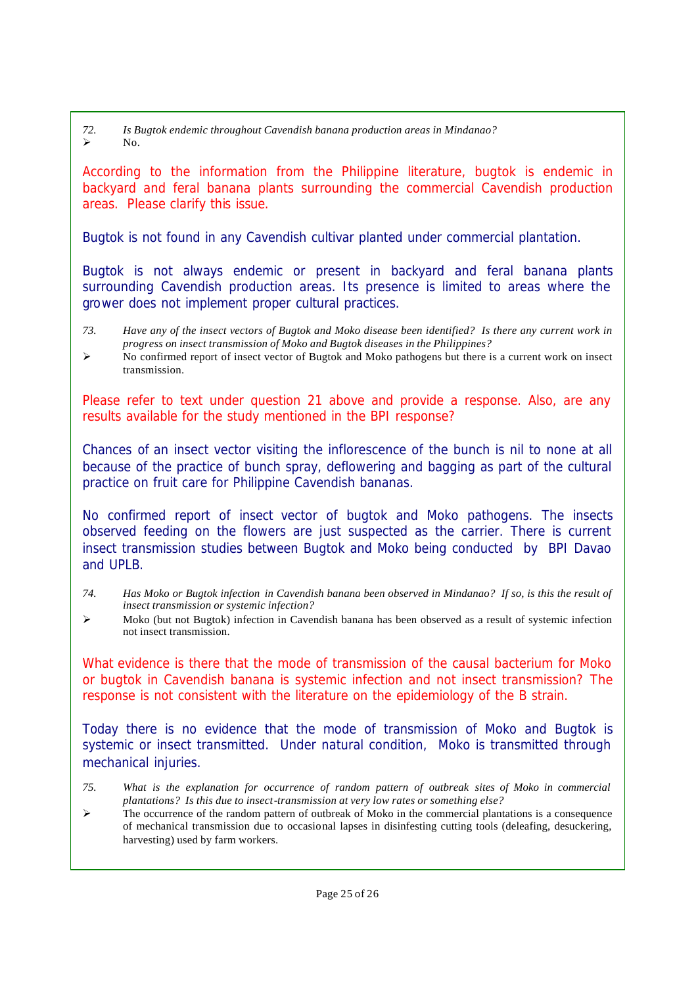*72. Is Bugtok endemic throughout Cavendish banana production areas in Mindanao?*  $\triangleright$  No.

*According to the information from the Philippine literature, bugtok is endemic in backyard and feral banana plants surrounding the commercial Cavendish production areas. Please clarify this issue.*

Bugtok is not found in any Cavendish cultivar planted under commercial plantation.

Bugtok is not always endemic or present in backyard and feral banana plants surrounding Cavendish production areas. Its presence is limited to areas where the grower does not implement proper cultural practices.

- *73. Have any of the insect vectors of Bugtok and Moko disease been identified? Is there any current work in progress on insect transmission of Moko and Bugtok diseases in the Philippines?*
- $\triangleright$  No confirmed report of insect vector of Bugtok and Moko pathogens but there is a current work on insect transmission.

*Please refer to text under question 21 above and provide a response. Also, are any results available for the study mentioned in the BPI response?*

Chances of an insect vector visiting the inflorescence of the bunch is nil to none at all because of the practice of bunch spray, deflowering and bagging as part of the cultural practice on fruit care for Philippine Cavendish bananas.

No confirmed report of insect vector of bugtok and Moko pathogens. The insects observed feeding on the flowers are just suspected as the carrier. There is current insect transmission studies between Bugtok and Moko being conducted by BPI Davao and UPLB.

- *74. Has Moko or Bugtok infection in Cavendish banana been observed in Mindanao? If so, is this the result of insect transmission or systemic infection?*
- $\triangleright$  Moko (but not Bugtok) infection in Cavendish banana has been observed as a result of systemic infection not insect transmission.

*What evidence is there that the mode of transmission of the causal bacterium for Moko or bugtok in Cavendish banana is systemic infection and not insect transmission? The response is not consistent with the literature on the epidemiology of the B strain.*

Today there is no evidence that the mode of transmission of Moko and Bugtok is systemic or insect transmitted. Under natural condition, Moko is transmitted through mechanical injuries.

- *75. What is the explanation for occurrence of random pattern of outbreak sites of Moko in commercial plantations? Is this due to insect-transmission at very low rates or something else?*
- $\geq$  The occurrence of the random pattern of outbreak of Moko in the commercial plantations is a consequence of mechanical transmission due to occasional lapses in disinfesting cutting tools (deleafing, desuckering, harvesting) used by farm workers.